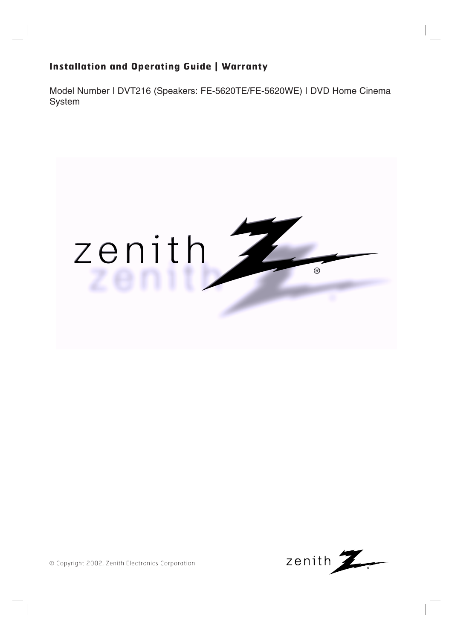### **Installation and Operating Guide | Warranty**

Model Number | DVT216 (Speakers: FE-5620TE/FE-5620WE) | DVD Home Cinema System





© Copyright 2002, Zenith Electronics Corporation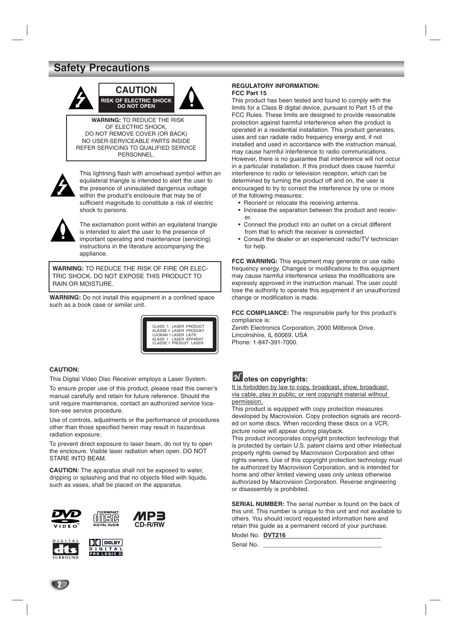### **Safety Precautions**



**WARNING:** TO REDUCE THE RISK OF ELECTRIC SHOCK, DO NOT REMOVE COVER (OR BACK) NO USER-SERVICEABLE PARTS INSIDE REFER SERVICING TO QUALIFIED SERVICE **PERSONNEL** 



This lightning flash with arrowhead symbol within an equilateral triangle is intended to alert the user to the presence of uninsulated dangerous voltage within the product's enclosure that may be of sufficient magnitude to constitute a risk of electric shock to persons.



The exclamation point within an equilateral triangle is intended to alert the user to the presence of important operating and maintenance (servicing) instructions in the literature accompanying the appliance.

**WARNING:** TO REDUCE THE RISK OF FIRE OR ELEC-TRIC SHOCK, DO NOT EXPOSE THIS PRODUCT TO RAIN OR MOISTURE.

**WARNING:** Do not install this equipment in a confined space such as a book case or similar unit.



#### **CAUTION:**

This Digital Video Disc Receiver employs a Laser System.

To ensure proper use of this product, please read this owner's manual carefully and retain for future reference. Should the unit require maintenance, contact an authorized service location-see service procedure.

Use of controls, adjustments or the performance of procedures other than those specified herein may result in hazardous radiation exposure.

To prevent direct exposure to laser beam, do not try to open the enclosure. Visible laser radiation when open. DO NOT STARE INTO BEAM.

**CAUTION:** The apparatus shall not be exposed to water, dripping or splashing and that no objects filled with liquids, such as vases, shall be placed on the apparatus.







#### **REGULATORY INFORMATION: FCC Part 15**

This product has been tested and found to comply with the limits for a Class B digital device, pursuant to Part 15 of the FCC Rules. These limits are designed to provide reasonable protection against harmful interference when the product is operated in a residential installation. This product generates, uses and can radiate radio frequency energy and, if not installed and used in accordance with the instruction manual, may cause harmful interference to radio communications. However, there is no guarantee that interference will not occur in a particular installation. If this product does cause harmful interference to radio or television reception, which can be determined by turning the product off and on, the user is encouraged to try to correct the interference by one or more of the following measures:

- Reorient or relocate the receiving antenna.
- Increase the separation between the product and receiver.
- Connect the product into an outlet on a circuit different from that to which the receiver is connected.
- Consult the dealer or an experienced radio/TV technician for help.

**FCC WARNING:** This equipment may generate or use radio frequency energy. Changes or modifications to this equipment may cause harmful interference unless the modifications are expressly approved in the instruction manual. The user could lose the authority to operate this equipment if an unauthorized change or modification is made.

**FCC COMPLIANCE:** The responsible party for this product's compliance is:

Zenith Electronics Corporation, 2000 Millbrook Drive, Lincolnshire, IL 60069, USA Phone: 1-847-391-7000.

### **otes on copyrights:**

It is forbidden by law to copy, broadcast, show, broadcast via cable, play in public, or rent copyright material without permission.

This product is equipped with copy protection measures developed by Macrovision. Copy protection signals are recorded on some discs. When recording these discs on a VCR, picture noise will appear during playback.

This product incorporates copyright protection technology that is protected by certain U.S. patent claims and other intellectual property rights owned by Macrovision Corporation and other rights owners. Use of this copyright protection technology must be authorized by Macrovision Corporation, and is intended for home and other limited viewing uses only unless otherwise authorized by Macrovision Corporation. Reverse engineering or disassembly is prohibited.

**SERIAL NUMBER:** The serial number is found on the back of this unit. This number is unique to this unit and not available to others. You should record requested information here and retain this guide as a permanent record of your purchase.

Model No. **DVT216** Serial No.

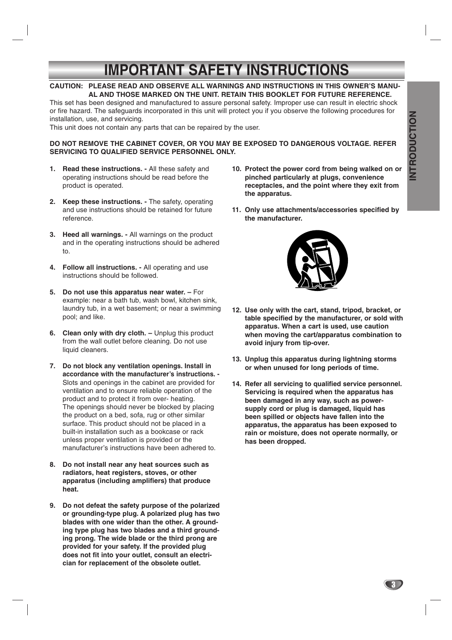# **IMPORTANT SAFETY INSTRUCTIONS**

#### **CAUTION: PLEASE READ AND OBSERVE ALL WARNINGS AND INSTRUCTIONS IN THIS OWNER'S MANU-AL AND THOSE MARKED ON THE UNIT. RETAIN THIS BOOKLET FOR FUTURE REFERENCE.**

This set has been designed and manufactured to assure personal safety. Improper use can result in electric shock or fire hazard. The safeguards incorporated in this unit will protect you if you observe the following procedures for installation, use, and servicing.

This unit does not contain any parts that can be repaired by the user.

#### **DO NOT REMOVE THE CABINET COVER, OR YOU MAY BE EXPOSED TO DANGEROUS VOLTAGE. REFER SERVICING TO QUALIFIED SERVICE PERSONNEL ONLY.**

- **1. Read these instructions.** All these safety and operating instructions should be read before the product is operated.
- **2. Keep these instructions.** The safety, operating and use instructions should be retained for future reference.
- **3. Heed all warnings.** All warnings on the product and in the operating instructions should be adhered to.
- **4. Follow all instructions.** All operating and use instructions should be followed.
- **5. Do not use this apparatus near water.** For example: near a bath tub, wash bowl, kitchen sink, laundry tub, in a wet basement; or near a swimming pool; and like.
- **6.** Clean only with dry cloth. Unplug this product from the wall outlet before cleaning. Do not use liquid cleaners.
- **7. Do not block any ventilation openings. Install in accordance with the manufacturer's instructions. -** Slots and openings in the cabinet are provided for ventilation and to ensure reliable operation of the product and to protect it from over- heating. The openings should never be blocked by placing the product on a bed, sofa, rug or other similar surface. This product should not be placed in a built-in installation such as a bookcase or rack unless proper ventilation is provided or the manufacturer's instructions have been adhered to.
- **8. Do not install near any heat sources such as radiators, heat registers, stoves, or other apparatus (including amplifiers) that produce heat.**
- **9. Do not defeat the safety purpose of the polarized or grounding-type plug. A polarized plug has two blades with one wider than the other. A grounding type plug has two blades and a third grounding prong. The wide blade or the third prong are provided for your safety. If the provided plug does not fit into your outlet, consult an electrician for replacement of the obsolete outlet.**
- **10. Protect the power cord from being walked on or pinched particularly at plugs, convenience receptacles, and the point where they exit from the apparatus.**
- **11. Only use attachments/accessories specified by the manufacturer.**



- **12. Use only with the cart, stand, tripod, bracket, or table specified by the manufacturer, or sold with apparatus. When a cart is used, use caution when moving the cart/apparatus combination to avoid injury from tip-over.**
- **13. Unplug this apparatus during lightning storms or when unused for long periods of time.**
- **14. Refer all servicing to qualified service personnel. Servicing is required when the apparatus has been damaged in any way, such as powersupply cord or plug is damaged, liquid has been spilled or objects have fallen into the apparatus, the apparatus has been exposed to rain or moisture, does not operate normally, or has been dropped.**

NTRODUCTION **INTRODUCTION**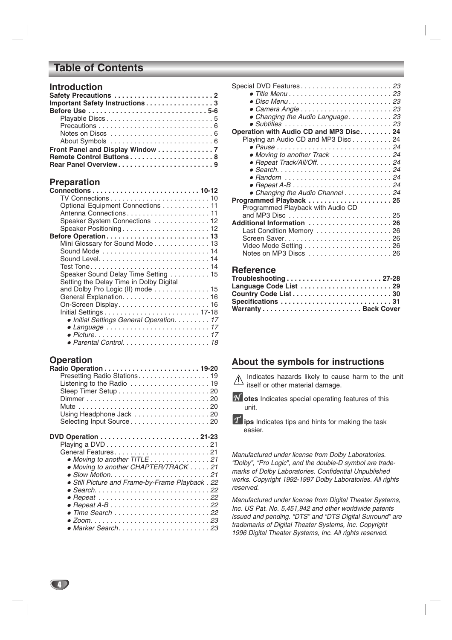### **Table of Contents**

| <b>Introduction</b> |  |  |  |  |  |  |  |  |  |  |
|---------------------|--|--|--|--|--|--|--|--|--|--|
|---------------------|--|--|--|--|--|--|--|--|--|--|

| Important Safety Instructions 3  |  |
|----------------------------------|--|
|                                  |  |
|                                  |  |
|                                  |  |
|                                  |  |
|                                  |  |
| Front Panel and Display Window 7 |  |
|                                  |  |
| Rear Panel Overview9             |  |

### **Preparation**

| Optional Equipment Connections 11        |
|------------------------------------------|
|                                          |
| Speaker System Connections 12            |
| Speaker Positioning 12                   |
|                                          |
| Mini Glossary for Sound Mode 13          |
|                                          |
|                                          |
| Test Tone14                              |
| Speaker Sound Delay Time Setting 15      |
| Setting the Delay Time in Dolby Digital  |
| and Dolby Pro Logic (II) mode 15         |
|                                          |
|                                          |
|                                          |
| • Initial Settings General Operation. 17 |
|                                          |
|                                          |
|                                          |

### **Operation**

 $\left( 4\right)$ 

| Presetting Radio Stations. 19                   |
|-------------------------------------------------|
|                                                 |
|                                                 |
|                                                 |
|                                                 |
| Using Headphone Jack 20                         |
| Selecting Input Source20                        |
|                                                 |
|                                                 |
|                                                 |
| • Moving to another TITLE 21                    |
| • Moving to another CHAPTER/TRACK 21            |
|                                                 |
| • Still Picture and Frame-by-Frame Playback. 22 |
|                                                 |
|                                                 |
|                                                 |
|                                                 |
|                                                 |
|                                                 |

| Special DVD Features23                                                            |
|-----------------------------------------------------------------------------------|
|                                                                                   |
|                                                                                   |
|                                                                                   |
| • Changing the Audio Language. 23                                                 |
|                                                                                   |
|                                                                                   |
| Operation with Audio CD and MP3 Disc. 24                                          |
| Playing an Audio CD and MP3 Disc 24                                               |
|                                                                                   |
| • Moving to another Track 24                                                      |
| • Repeat Track/All/Off. 24                                                        |
|                                                                                   |
| • Random  24                                                                      |
| $\bullet$ Repeat A-B $\ldots \ldots \ldots \ldots \ldots \ldots \ldots \ldots 24$ |
| • Changing the Audio Channel 24                                                   |
| Programmed Playback 25                                                            |
| Programmed Playback with Audio CD                                                 |
|                                                                                   |
|                                                                                   |
| Additional Information 26                                                         |
| Last Condition Memory 26                                                          |
|                                                                                   |
|                                                                                   |
|                                                                                   |
|                                                                                   |
|                                                                                   |

### **Reference**

| Troubleshooting27-28   |  |  |  |  |
|------------------------|--|--|--|--|
| Language Code List  29 |  |  |  |  |
|                        |  |  |  |  |
|                        |  |  |  |  |
|                        |  |  |  |  |

### **About the symbols for instructions**

Indicates hazards likely to cause harm to the unit itself or other material damage.

*N* otes Indicates special operating features of this unit.

*Manufactured under license from Dolby Laboratories. "Dolby", "Pro Logic", and the double-D symbol are trademarks of Dolby Laboratories. Confidential Unpublished works. Copyright 1992-1997 Dolby Laboratories. All rights reserved.*

*Manufactured under license from Digital Theater Systems, Inc. US Pat. No. 5,451,942 and other worldwide patents issued and pending. "DTS" and "DTS Digital Surround" are trademarks of Digital Theater Systems, Inc. Copyright 1996 Digital Theater Systems, Inc. All rights reserved.*

*T* ips Indicates tips and hints for making the task easier.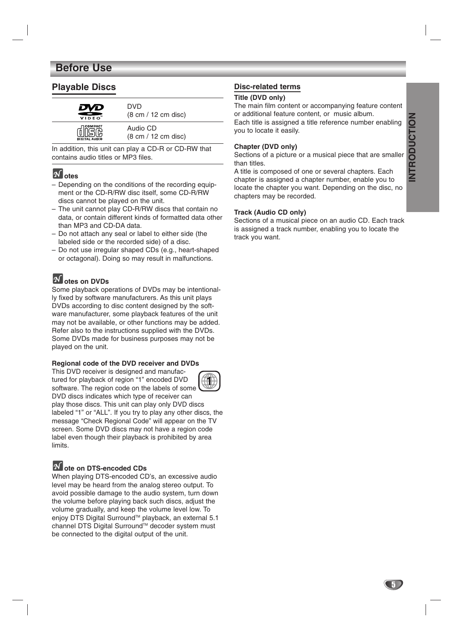### **Before Use**

### **Playable Discs**

| DVD                  | DVD                                           |
|----------------------|-----------------------------------------------|
| VIDEO <sup>"</sup>   | $(8 \text{ cm} / 12 \text{ cm} \text{ disc})$ |
| COMPACT              | Audio CD                                      |
| <b>DIGITAL AUDIO</b> | $(8 \text{ cm} / 12 \text{ cm}$ disc)         |

In addition, this unit can play a CD-R or CD-RW that contains audio titles or MP3 files.

### $\boldsymbol{\mathcal{N}}$  otes

- Depending on the conditions of the recording equipment or the CD-R/RW disc itself, some CD-R/RW discs cannot be played on the unit.
- The unit cannot play CD-R/RW discs that contain no data, or contain different kinds of formatted data other than MP3 and CD-DA data.
- Do not attach any seal or label to either side (the labeled side or the recorded side) of a disc.
- Do not use irregular shaped CDs (e.g., heart-shaped or octagonal). Doing so may result in malfunctions.

## **otes on DVDs**

Some playback operations of DVDs may be intentionally fixed by software manufacturers. As this unit plays DVDs according to disc content designed by the software manufacturer, some playback features of the unit may not be available, or other functions may be added. Refer also to the instructions supplied with the DVDs. Some DVDs made for business purposes may not be played on the unit.

#### **Regional code of the DVD receiver and DVDs**

This DVD receiver is designed and manufactured for playback of region "1" encoded DVD software. The region code on the labels of some DVD discs indicates which type of receiver can play those discs. This unit can play only DVD discs labeled "1" or "ALL". If you try to play any other discs, the message "Check Regional Code" will appear on the TV screen. Some DVD discs may not have a region code label even though their playback is prohibited by area limits. **1**

### **ote on DTS-encoded CDs**

When playing DTS-encoded CD's, an excessive audio level may be heard from the analog stereo output. To avoid possible damage to the audio system, turn down the volume before playing back such discs, adjust the volume gradually, and keep the volume level low. To enjoy DTS Digital Surround™ playback, an external 5.1 channel DTS Digital Surround™ decoder system must be connected to the digital output of the unit.

### **Disc-related terms**

#### **Title (DVD only)**

The main film content or accompanying feature content or additional feature content, or music album. Each title is assigned a title reference number enabling you to locate it easily.

#### **Chapter (DVD only)**

Sections of a picture or a musical piece that are smaller than titles.

A title is composed of one or several chapters. Each chapter is assigned a chapter number, enable you to locate the chapter you want. Depending on the disc, no chapters may be recorded.

#### **Track (Audio CD only)**

Sections of a musical piece on an audio CD. Each track is assigned a track number, enabling you to locate the track you want.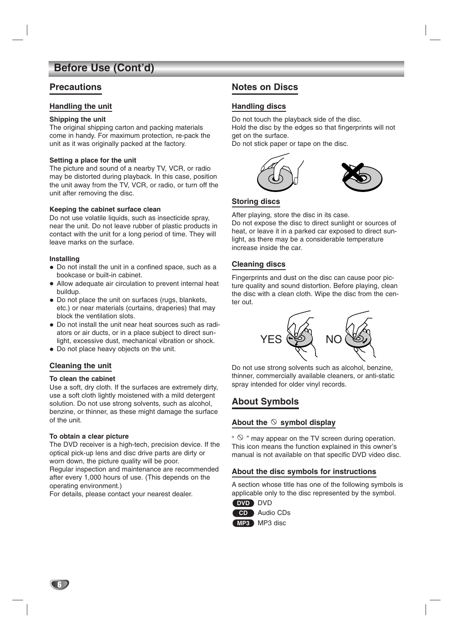### **Before Use (Cont'd)**

### **Precautions**

#### **Handling the unit**

#### **Shipping the unit**

The original shipping carton and packing materials come in handy. For maximum protection, re-pack the unit as it was originally packed at the factory.

#### **Setting a place for the unit**

The picture and sound of a nearby TV, VCR, or radio may be distorted during playback. In this case, position the unit away from the TV, VCR, or radio, or turn off the unit after removing the disc.

#### **Keeping the cabinet surface clean**

Do not use volatile liquids, such as insecticide spray, near the unit. Do not leave rubber of plastic products in contact with the unit for a long period of time. They will leave marks on the surface.

#### **Installing**

- Do not install the unit in a confined space, such as a bookcase or built-in cabinet.
- Allow adequate air circulation to prevent internal heat buildup.
- Do not place the unit on surfaces (rugs, blankets, etc.) or near materials (curtains, draperies) that may block the ventilation slots.
- Do not install the unit near heat sources such as radiators or air ducts, or in a place subject to direct sunlight, excessive dust, mechanical vibration or shock.
- Do not place heavy objects on the unit.

#### **Cleaning the unit**

#### **To clean the cabinet**

Use a soft, dry cloth. If the surfaces are extremely dirty, use a soft cloth lightly moistened with a mild detergent solution. Do not use strong solvents, such as alcohol, benzine, or thinner, as these might damage the surface of the unit.

#### **To obtain a clear picture**

The DVD receiver is a high-tech, precision device. If the optical pick-up lens and disc drive parts are dirty or worn down, the picture quality will be poor.

Regular inspection and maintenance are recommended after every 1,000 hours of use. (This depends on the operating environment.)

For details, please contact your nearest dealer.

### **Notes on Discs**

#### **Handling discs**

Do not touch the playback side of the disc. Hold the disc by the edges so that fingerprints will not get on the surface.

Do not stick paper or tape on the disc.



#### **Storing discs**

After playing, store the disc in its case. Do not expose the disc to direct sunlight or sources of heat, or leave it in a parked car exposed to direct sunlight, as there may be a considerable temperature increase inside the car.

### **Cleaning discs**

Fingerprints and dust on the disc can cause poor picture quality and sound distortion. Before playing, clean the disc with a clean cloth. Wipe the disc from the center out.



Do not use strong solvents such as alcohol, benzine, thinner, commercially available cleaners, or anti-static spray intended for older vinyl records.

### **About Symbols**

#### About the  $\heartsuit$  symbol display

"  $\heartsuit$  " may appear on the TV screen during operation. This icon means the function explained in this owner's manual is not available on that specific DVD video disc.

#### **About the disc symbols for instructions**

A section whose title has one of the following symbols is applicable only to the disc represented by the symbol.



**MP3** MP3 disc

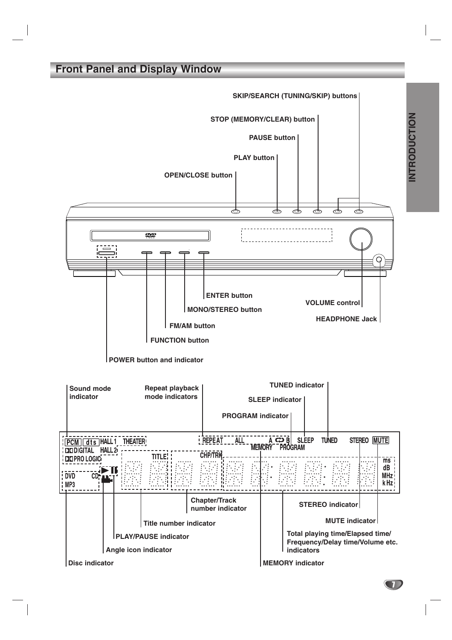### **Front Panel and Display Window**



INTRODUCTION **INTRODUCTION**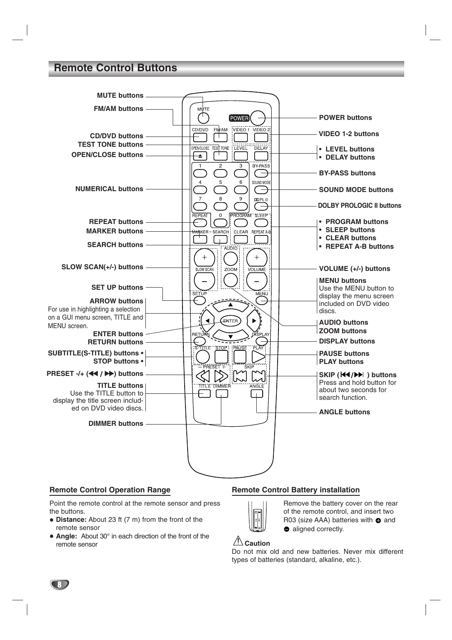### **Remote Control Buttons**



#### **Remote Control Operation Range**

Point the remote control at the remote sensor and press the buttons.

- **Distance:** About 23 ft (7 m) from the front of the remote sensor
- **Angle:** About 30° in each direction of the front of the remote sensor

#### **Remote Control Battery installation**



Remove the battery cover on the rear of the remote control, and insert two R03 (size AAA) batteries with  $\bullet$  and • aligned correctly.

### **Caution**

Do not mix old and new batteries. Never mix different types of batteries (standard, alkaline, etc.).<br>  $\triangle$  **Caution**<br>
Do not mix old and new batteries. Never<br>
types of batteries (standard, alkaline, etc.).

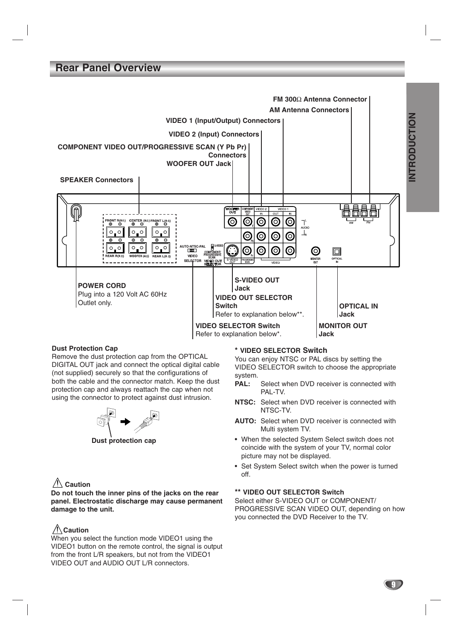### **Rear Panel Overview**



#### **Dust Protection Cap**

Remove the dust protection cap from the OPTICAL DIGITAL OUT jack and connect the optical digital cable (not supplied) securely so that the configurations of both the cable and the connector match. Keep the dust protection cap and always reattach the cap when not using the connector to protect against dust intrusion.



**Dust protection cap**

#### **Caution**

**Do not touch the inner pins of the jacks on the rear panel. Electrostatic discharge may cause permanent damage to the unit.**

### **Caution**

When you select the function mode VIDEO1 using the VIDEO1 button on the remote control, the signal is output from the front L/R speakers, but not from the VIDEO1 VIDEO OUT and AUDIO OUT L/R connectors.

#### **\* VIDEO SELECTOR Switch**

You can enjoy NTSC or PAL discs by setting the VIDEO SELECTOR switch to choose the appropriate system.

- PAL: Select when DVD receiver is connected with PAI-TV
- **NTSC:** Select when DVD receiver is connected with NTSC-TV.
- **AUTO:** Select when DVD receiver is connected with Multi system TV.
- When the selected System Select switch does not coincide with the system of your TV, normal color picture may not be displayed.
- Set System Select switch when the power is turned off.

#### **\*\* VIDEO OUT SELECTOR Switch**

Select either S-VIDEO OUT or COMPONENT/ PROGRESSIVE SCAN VIDEO OUT, depending on how you connected the DVD Receiver to the TV.

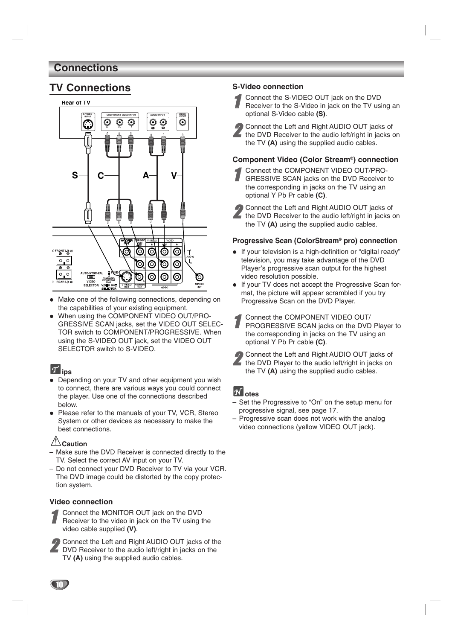### **Connections**



- $\bullet$  Make one of the following connections, depending on the capabilities of your existing equipment.
- $\bullet$  When using the COMPONENT VIDEO OUT/PRO-GRESSIVE SCAN jacks, set the VIDEO OUT SELEC-TOR switch to COMPONENT/PROGRESSIVE. When using the S-VIDEO OUT jack, set the VIDEO OUT SELECTOR switch to S-VIDEO.

### **ips**

- Depending on your TV and other equipment you wish to connect, there are various ways you could connect the player. Use one of the connections described below.
- Please refer to the manuals of your TV, VCR, Stereo System or other devices as necessary to make the best connections.

### **Caution**

- Make sure the DVD Receiver is connected directly to the TV. Select the correct AV input on your TV.
- Do not connect your DVD Receiver to TV via your VCR. The DVD image could be distorted by the copy protection system.

#### **Video connection**

- 1 Connect the MONITOR OUT jack on the DVD<br>Receiver to the video in jack on the TV using the video cable supplied **(V)**.
- **2** Connect the Left and Right AUDIO OUT jacks of the DVD Receiver to the audio left/right in jacks on the TV **(A)** using the supplied audio cables.

**TV Connections**<br> **S-Video connection**<br> **S-Video connection**<br> **S-Video connection**<br> **S-VIDEO OUT jack on the DVD** 

- 1 Connect the S-VIDEO OUT jack on the DVD<br>Receiver to the S-Video in jack on the TV using an optional S-Video cable **(S)**.
- 2 Connect the Left and Right AUDIO OUT jacks of the DVD Receiver to the audio left/right in jacks on the TV **(A)** using the supplied audio cables.

#### **Component Video (Color Stream®) connection**

- Connect the COMPONENT VIDEO OUT/PRO-GRESSIVE SCAN jacks on the DVD Receiver to the corresponding in jacks on the TV using an optional Y Pb Pr cable **(C)**.
- 2 Connect the Left and Right AUDIO OUT jacks of the DVD Receiver to the audio left/right in jacks on the TV **(A)** using the supplied audio cables.

#### **Progressive Scan (ColorStream® pro) connection**

- If your television is a high-definition or "digital ready" television, you may take advantage of the DVD Player's progressive scan output for the highest video resolution possible.
- If your TV does not accept the Progressive Scan format, the picture will appear scrambled if you try Progressive Scan on the DVD Player.
- 1 Connect the COMPONENT VIDEO OUT/ PROGRESSIVE SCAN jacks on the DVD Player to the corresponding in jacks on the TV using an optional Y Pb Pr cable **(C)**.
- 2 Connect the Left and Right AUDIO OUT jacks of the DVD Player to the audio left/right in jacks on the TV **(A)** using the supplied audio cables.

### **otes**

- Set the Progressive to "On" on the setup menu for progressive signal, see page 17.
- Progressive scan does not work with the analog video connections (yellow VIDEO OUT jack).

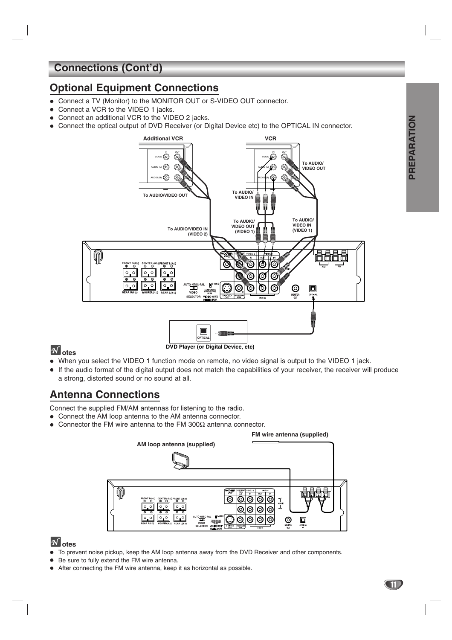## **Connections (Cont'd)**

### **Optional Equipment Connections**

- Connect a TV (Monitor) to the MONITOR OUT or S-VIDEO OUT connector.
- Connect a VCR to the VIDEO 1 jacks.
- $\bullet$ Connect an additional VCR to the VIDEO 2 jacks.
- $\bullet$ Connect the optical output of DVD Receiver (or Digital Device etc) to the OPTICAL IN connector.



### **otes**

- When you select the VIDEO 1 function mode on remote, no video signal is output to the VIDEO 1 jack.
- If the audio format of the digital output does not match the capabilities of your receiver, the receiver will produce a strong, distorted sound or no sound at all.

## **Antenna Connections**

Connect the supplied FM/AM antennas for listening to the radio.

- Connect the AM loop antenna to the AM antenna connector.
- $\bullet$ Connector the FM wire antenna to the FM 300 $\Omega$  antenna connector.



### **otes**

- $\bullet$ To prevent noise pickup, keep the AM loop antenna away from the DVD Receiver and other components.
- Be sure to fully extend the FM wire antenna.
- After connecting the FM wire antenna, keep it as horizontal as possible.

PREPARATION **PREPARATION**

**CTD**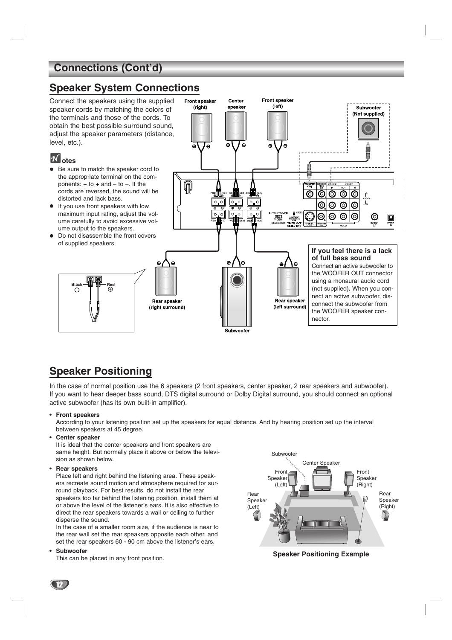### **Connections (Cont'd)**

### **Speaker System Connections**



### **Speaker Positioning**

In the case of normal position use the 6 speakers (2 front speakers, center speaker, 2 rear speakers and subwoofer). If you want to hear deeper bass sound, DTS digital surround or Dolby Digital surround, you should connect an optional active subwoofer (has its own built-in amplifier).

**• Front speakers**

According to your listening position set up the speakers for equal distance. And by hearing position set up the interval between speakers at 45 degree.

**• Center speaker**

It is ideal that the center speakers and front speakers are same height. But normally place it above or below the television as shown below.

**• Rear speakers**

Place left and right behind the listening area. These speakers recreate sound motion and atmosphere required for surround playback. For best results, do not install the rear speakers too far behind the listening position, install them at or above the level of the listener's ears. It is also effective to direct the rear speakers towards a wall or ceiling to further disperse the sound.

In the case of a smaller room size, if the audience is near to the rear wall set the rear speakers opposite each other, and set the rear speakers 60 - 90 cm above the listener's ears.

**• Subwoofer**

This can be placed in any front position.



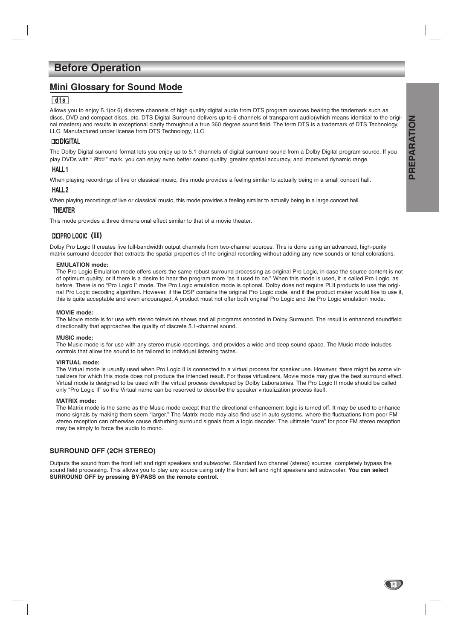### **Before Operation**

### **Mini Glossary for Sound Mode**

#### $|$  dts  $|$

Allows you to enjoy 5.1(or 6) discrete channels of high quality digital audio from DTS program sources bearing the trademark such as discs, DVD and compact discs, etc. DTS Digital Surround delivers up to 6 channels of transparent audio(which means identical to the original masters) and results in exceptional clarity throughout a true 360 degree sound field. The term DTS is a trademark of DTS Technology, LLC. Manufactured under license from DTS Technology, LLC.

#### **DEDIGITAL**

The Dolby Digital surround format lets you enjoy up to 5.1 channels of digital surround sound from a Dolby Digital program source. If you play DVDs with "  $m$ , mark, you can enjoy even better sound quality, greater spatial accuracy, and improved dynamic range.

#### **HALL1**

When playing recordings of live or classical music, this mode provides a feeling similar to actually being in a small concert hall.

#### HALL<sub>2</sub>

When playing recordings of live or classical music, this mode provides a feeling similar to actually being in a large concert hall.

#### **THEATER**

This mode provides a three dimensional effect similar to that of a movie theater.

### **(II)**

Dolby Pro Logic II creates five full-bandwidth output channels from two-channel sources. This is done using an advanced, high-purity matrix surround decoder that extracts the spatial properties of the original recording without adding any new sounds or tonal colorations.

#### **EMULATION mode:**

The Pro Logic Emulation mode offers users the same robust surround processing as original Pro Logic, in case the source content is not of optimum quality, or if there is a desire to hear the program more "as it used to be." When this mode is used, it is called Pro Logic, as before. There is no "Pro Logic I" mode. The Pro Logic emulation mode is optional. Dolby does not require PLII products to use the original Pro Logic decoding algorithm. However, if the DSP contains the original Pro Logic code, and if the product maker would like to use it, this is quite acceptable and even encouraged. A product must not offer both original Pro Logic and the Pro Logic emulation mode.

#### **MOVIE mode:**

The Movie mode is for use with stereo television shows and all programs encoded in Dolby Surround. The result is enhanced soundfield directionality that approaches the quality of discrete 5.1-channel sound.

#### **MUSIC mode:**

The Music mode is for use with any stereo music recordings, and provides a wide and deep sound space. The Music mode includes controls that allow the sound to be tailored to individual listening tastes.

#### **VIRTUAL mode:**

The Virtual mode is usually used when Pro Logic II is connected to a virtual process for speaker use. However, there might be some virtualizers for which this mode does not produce the intended result. For those virtualizers, Movie mode may give the best surround effect. Virtual mode is designed to be used with the virtual process developed by Dolby Laboratories. The Pro Logic II mode should be called only "Pro Logic II" so the Virtual name can be reserved to describe the speaker virtualization process itself.

#### **MATRIX mode:**

The Matrix mode is the same as the Music mode except that the directional enhancement logic is turned off. It may be used to enhance mono signals by making them seem "larger." The Matrix mode may also find use in auto systems, where the fluctuations from poor FM stereo reception can otherwise cause disturbing surround signals from a logic decoder. The ultimate "cure" for poor FM stereo reception may be simply to force the audio to mono.

#### **SURROUND OFF (2CH STEREO)**

Outputs the sound from the front left and right speakers and subwoofer. Standard two channel (stereo) sources completely bypass the sound field processing. This allows you to play any source using only the front left and right speakers and subwoofer. **You can select SURROUND OFF by pressing BY-PASS on the remote control.**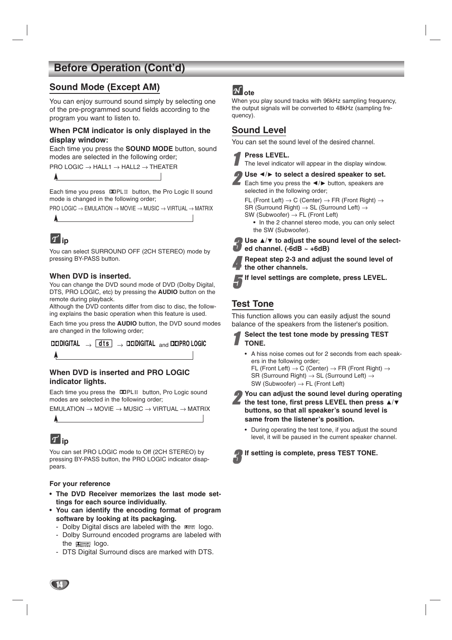### **Sound Mode (Except AM)**

You can enjoy surround sound simply by selecting one of the pre-programmed sound fields according to the program you want to listen to.

#### **When PCM indicator is only displayed in the display window:**

Each time you press the **SOUND MODE** button, sound modes are selected in the following order;

PRO LOGIC → HALL1 → HALL2 → THEATER

Each time you press DOPLII button, the Pro Logic II sound mode is changed in the following order;

 $PRO$  LOGIC  $\rightarrow$  EMULATION  $\rightarrow$  MOVIE  $\rightarrow$  MUSIC  $\rightarrow$  VIRTUAL  $\rightarrow$  MATRIX

# **ip**

You can select SURROUND OFF (2CH STEREO) mode by pressing BY-PASS button.

#### **When DVD is inserted.**

You can change the DVD sound mode of DVD (Dolby Digital, DTS, PRO LOGIC, etc) by pressing the **AUDIO** button on the remote during playback.

Although the DVD contents differ from disc to disc, the following explains the basic operation when this feature is used. Each time you press the **AUDIO** button, the DVD sound modes are changed in the following order;

 $\Box$ DDIGITAL  $\rightarrow$  dts  $\rightarrow$  DODIGITAL  $_{\text{and}}$  DOPRO LOGIC

#### **When DVD is inserted and PRO LOGIC indicator lights.**

Each time you press the DOPLII button, Pro Logic sound modes are selected in the following order;

EMULATION → MOVIE → MUSIC → VIRTUAL → MATRIX

# **ip**

You can set PRO LOGIC mode to Off (2CH STEREO) by pressing BY-PASS button, the PRO LOGIC indicator disappears.

#### **For your reference**

- **• The DVD Receiver memorizes the last mode settings for each source individually.**
- **• You can identify the encoding format of program software by looking at its packaging.**
	- Dolby Digital discs are labeled with the man logo. - Dolby Surround encoded programs are labeled with the **Department** logo.
	- DTS Digital Surround discs are marked with DTS.

### $\overline{M}$ ote

When you play sound tracks with 96kHz sampling frequency, the output signals will be converted to 48kHz (sampling frequency).

### **Sound Level**

You can set the sound level of the desired channel.

#### **Press LEVEL.**

The level indicator will appear in the display window.

Use  $\triangleleft$  **/ to select a desired speaker to set.** 

Each time you press the  $\blacktriangleleft / \blacktriangleright$  button, speakers are selected in the following order;

FL (Front Left)  $\rightarrow$  C (Center)  $\rightarrow$  FR (Front Right)  $\rightarrow$ SR (Surround Right)  $\rightarrow$  SL (Surround Left)  $\rightarrow$ 

 $SW$  (Subwoofer)  $\rightarrow$  FL (Front Left)

**•** In the 2 channel stereo mode, you can only select the SW (Subwoofer).

**4** Use **A**/▼ to adjust the sound level of the select-<br> **L** ad channel (-6dB = +6dB) **ed channel. (-6dB ~ +6dB)**

4 **Repeat step 2-3 and adjust the sound level of the other channels.**

5**If level settings are complete, press LEVEL.**

### **Test Tone**

This function allows you can easily adjust the sound balance of the speakers from the listener's position.

- 1 **Select the test tone mode by pressing TEST TONE.**
	- A hiss noise comes out for 2 seconds from each speakers in the following order; FL (Front Left)  $\rightarrow$  C (Center)  $\rightarrow$  FR (Front Right)  $\rightarrow$

SR (Surround Right) → SL (Surround Left) →  $SW$  (Subwoofer)  $\rightarrow$  FL (Front Left)

- 2 **You can adjust the sound level during operating** the test tone, first press LEVEL then press  $\blacktriangle/\blacktriangledown$ **buttons, so that all speaker's sound level is same from the listener's position.**
	- During operating the test tone, if you adjust the sound level, it will be paused in the current speaker channel.

If setting is complete, press TEST TONE.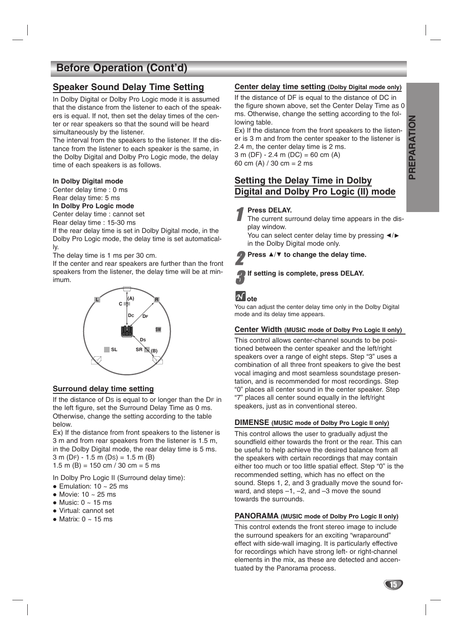#### **Speaker Sound Delay Time Setting**

In Dolby Digital or Dolby Pro Logic mode it is assumed that the distance from the listener to each of the speakers is equal. If not, then set the delay times of the center or rear speakers so that the sound will be heard simultaneously by the listener.

The interval from the speakers to the listener. If the distance from the listener to each speaker is the same, in the Dolby Digital and Dolby Pro Logic mode, the delay time of each speakers is as follows.

#### **In Dolby Digital mode**

Center delay time : 0 ms Rear delay time: 5 ms

#### **In Dolby Pro Logic mode**

Center delay time : cannot set

Rear delay time : 15-30 ms

If the rear delay time is set in Dolby Digital mode, in the Dolby Pro Logic mode, the delay time is set automatically.

The delay time is 1 ms per 30 cm.

If the center and rear speakers are further than the front speakers from the listener, the delay time will be at minimum.



#### **Surround delay time setting**

If the distance of DS is equal to or longer than the DF in the left figure, set the Surround Delay Time as 0 ms. Otherwise, change the setting according to the table below.

Ex) If the distance from front speakers to the listener is 3 m and from rear speakers from the listener is 1.5 m, in the Dolby Digital mode, the rear delay time is 5 ms. 3 m (DF) - 1.5 m (DS) = 1.5 m (B) 1.5 m (B) = 150 cm  $/$  30 cm = 5 ms

In Dolby Pro Logic II (Surround delay time):

- $\bullet$  Emulation: 10  $\sim$  25 ms
- Movie: 10 ~ 25 ms
- Music: 0 ~ 15 ms
- Virtual: cannot set
- Matrix: 0 ~ 15 ms

#### **Center delay time setting (Dolby Digital mode only)**

If the distance of DF is equal to the distance of DC in the figure shown above, set the Center Delay Time as 0 ms. Otherwise, change the setting according to the following table.

Ex) If the distance from the front speakers to the listener is 3 m and from the center speaker to the listener is 2.4 m, the center delay time is 2 ms.

 $3 \text{ m}$  (DF) - 2.4 m (DC) = 60 cm (A) 60 cm (A)  $/$  30 cm = 2 ms

### **Setting the Delay Time in Dolby Digital and Dolby Pro Logic (II) mode**

#### **Press DELAY.**

The current surround delay time appears in the display window.

You can select center delay time by pressing  $\blacktriangleleft/\blacktriangleright$ in the Dolby Digital mode only.

Press **A/** $\Psi$  to change the delay time.

#### If setting is complete, press DELAY.

### **ote**

You can adjust the center delay time only in the Dolby Digital mode and its delay time appears.

#### **Center Width (MUSIC mode of Dolby Pro Logic II only)**

This control allows center-channel sounds to be positioned between the center speaker and the left/right speakers over a range of eight steps. Step "3" uses a combination of all three front speakers to give the best vocal imaging and most seamless soundstage presentation, and is recommended for most recordings. Step "0" places all center sound in the center speaker. Step "7" places all center sound equally in the left/right speakers, just as in conventional stereo.

#### **DIMENSE (MUSIC mode of Dolby Pro Logic II only)**

This control allows the user to gradually adjust the soundfield either towards the front or the rear. This can be useful to help achieve the desired balance from all the speakers with certain recordings that may contain either too much or too little spatial effect. Step "0" is the recommended setting, which has no effect on the sound. Steps 1, 2, and 3 gradually move the sound forward, and steps –1, –2, and –3 move the sound towards the surrounds.

#### **PANORAMA (MUSIC mode of Dolby Pro Logic II only)**

This control extends the front stereo image to include the surround speakers for an exciting "wraparound" effect with side-wall imaging. It is particularly effective for recordings which have strong left- or right-channel elements in the mix, as these are detected and accentuated by the Panorama process.

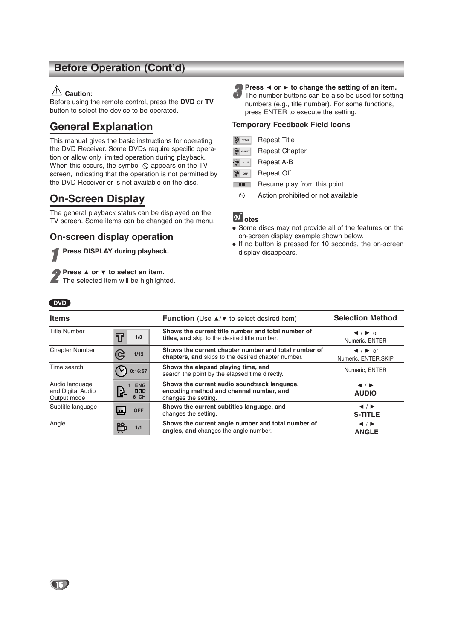### **Caution:**

Before using the remote control, press the **DVD** or **TV** button to select the device to be operated.

### **General Explanation**

This manual gives the basic instructions for operating the DVD Receiver. Some DVDs require specific operation or allow only limited operation during playback. When this occurs, the symbol  $\Diamond$  appears on the TV screen, indicating that the operation is not permitted by the DVD Receiver or is not available on the disc.

### **On-Screen Display**

The general playback status can be displayed on the TV screen. Some items can be changed on the menu.

### **On-screen display operation**

**Press DISPLAY during playback.** 

**Press 4 or**  $\triangledown$  **to select an item.**<br>The selected item will be highlighted.

#### **4)** Press ◀ or ► to change the setting of an item. The number buttons can be also be used for setting numbers (e.g., title number). For some functions, press ENTER to execute the setting.

#### **Temporary Feedback Field Icons**

| $\mathfrak{D}$ TITLE | <b>Repeat Title</b> |  |
|----------------------|---------------------|--|
|----------------------|---------------------|--|

|  | $\bigotimes$ CHAPT |  | <b>Repeat Chapter</b> |
|--|--------------------|--|-----------------------|
|--|--------------------|--|-----------------------|

- Repeat A-B **P** A B
- Repeat Off **OFF**
- **The Co** Resume play from this point
- $\circ$ Action prohibited or not available

### **otes**

- Some discs may not provide all of the features on the on-screen display example shown below.
- If no button is pressed for 10 seconds, the on-screen display disappears.

#### **DVD**

| <b>Items</b>                                       |                                   | <b>Function</b> (Use $\triangle$ / $\blacktriangledown$ to select desired item)                                 | <b>Selection Method</b>                                                   |
|----------------------------------------------------|-----------------------------------|-----------------------------------------------------------------------------------------------------------------|---------------------------------------------------------------------------|
| <b>Title Number</b>                                | $\mathbf T$<br>1/3                | Shows the current title number and total number of<br>titles, and skip to the desired title number.             | $\blacktriangleleft$ / $\blacktriangleright$ , or<br>Numeric, ENTER       |
| <b>Chapter Number</b>                              | 1/12                              | Shows the current chapter number and total number of<br>chapters, and skips to the desired chapter number.      | $\blacktriangleleft$ / $\blacktriangleright$ , or<br>Numeric, ENTER, SKIP |
| Time search                                        | 0:16:57                           | Shows the elapsed playing time, and<br>search the point by the elapsed time directly.                           | Numeric, ENTER                                                            |
| Audio language<br>and Digital Audio<br>Output mode | <b>ENG</b><br>Ŀ.<br>D D D<br>6 CH | Shows the current audio soundtrack language,<br>encoding method and channel number, and<br>changes the setting. | $\blacktriangleleft$ / $\blacktriangleright$<br><b>AUDIO</b>              |
| Subtitle language                                  | <b>OFF</b>                        | Shows the current subtitles language, and<br>changes the setting.                                               | $\blacktriangleleft$ / $\blacktriangleright$<br><b>S-TITLE</b>            |
| Angle                                              | 1/1                               | Shows the current angle number and total number of<br>angles, and changes the angle number.                     | $\blacktriangleleft$ / $\blacktriangleright$<br><b>ANGLE</b>              |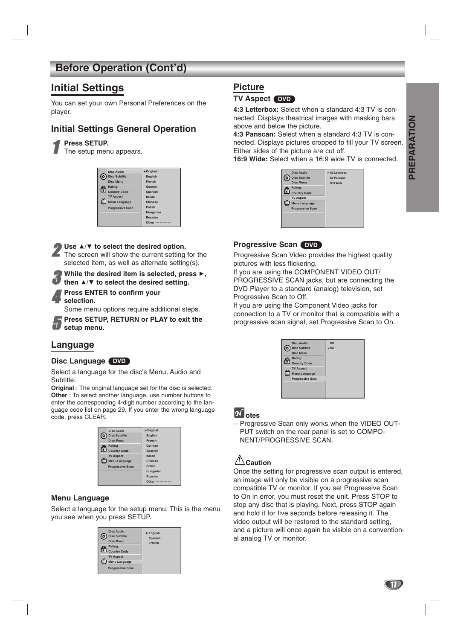### **Initial Settings**

You can set your own Personal Preferences on the player.

### **Initial Settings General Operation**

#### 1 **Press SETUP.**

The setup menu appears.

|     | Disc Audio              | Driginal       |
|-----|-------------------------|----------------|
| ( о | <b>Disc Subtitle</b>    | <b>English</b> |
|     | <b>Disc Menu</b>        | French         |
|     | Rating                  | German         |
| ⊕   | <b>Country Code</b>     | Spanish        |
|     | <b>TV Aspect</b>        | <b>Italian</b> |
|     | <b>Menu Language</b>    | Chinese        |
|     | <b>Progressive Scan</b> | Polish         |
|     |                         | Hungarian      |
|     |                         | <b>Russian</b> |
|     |                         | Other          |
|     |                         |                |

#### ■ Use **A/V** to select the desired option.

The screen will show the current setting for the selected item, as well as alternate setting(s).

#### While the desired item is selected, press  $\blacktriangleright$ . then  $\triangle$ / $\triangledown$  to select the desired setting.

4 **Press ENTER to confirm your** 

**selection.**

Some menu options require additional steps.

5 **Press SETUP, RETURN or PLAY to exit the setup menu.**

### **Language**

#### **Disc Language DVD**

Select a language for the disc's Menu, Audio and Subtitle.

**Original** : The original language set for the disc is selected. **Other** : To select another language, use number buttons to enter the corresponding 4-digit number according to the language code list on page 29. If you enter the wrong language code, press CLEAR.

|   | Disc Audio              | <b>VOriginal</b> |
|---|-------------------------|------------------|
| c | <b>Disc Subtitle</b>    | <b>English</b>   |
|   | <b>Disc Menu</b>        | <b>French</b>    |
|   | <b>Rating</b>           | German           |
| € | <b>Country Code</b>     | <b>Spanish</b>   |
|   | <b>TV Aspect</b>        | <b>Italian</b>   |
|   | <b>Menu Language</b>    | Chinese          |
|   | <b>Progressive Scan</b> | Polish           |
|   |                         | Hungarian        |
|   |                         | <b>Russian</b>   |
|   |                         | Other            |

#### **Menu Language**

Select a language for the setup menu. This is the menu you see when you press SETUP.

| G | Disc Audio<br><b>Disc Subtitle</b><br><b>Disc Menu</b><br>Rating<br><b>Country Code</b> | $\triangleright$ English<br>Spanish<br><b>French</b> |
|---|-----------------------------------------------------------------------------------------|------------------------------------------------------|
|   | <b>TV Aspect</b><br>Menu Language                                                       |                                                      |
|   | <b>Progressive Scan</b>                                                                 |                                                      |

### **Picture**

#### **TV Aspect DVD**

**4:3 Letterbox:** Select when a standard 4:3 TV is connected. Displays theatrical images with masking bars above and below the picture.

**4:3 Panscan:** Select when a standard 4:3 TV is connected. Displays pictures cropped to fill your TV screen. Either sides of the picture are cut off.

**16:9 Wide:** Select when a 16:9 wide TV is connected.

|   | Disc Audio              | $\sqrt{4:3}$ Letterbox |
|---|-------------------------|------------------------|
|   | <b>Disc Subtitle</b>    | 4:3 Panscan            |
|   | <b>Disc Menu</b>        | 16:9 Wide              |
|   | Rating                  |                        |
| G | <b>Country Code</b>     |                        |
|   | <b>TV Aspect</b>        |                        |
|   | <b>Menu Language</b>    |                        |
|   | <b>Progressive Scan</b> |                        |
|   |                         |                        |
|   |                         |                        |
|   |                         |                        |

#### **Progressive Scan** DVD

Progressive Scan Video provides the highest quality pictures with less flickering.

If you are using the COMPONENT VIDEO OUT/ PROGRESSIVE SCAN jacks, but are connecting the DVD Player to a standard (analog) television, set Progressive Scan to Off.

If you are using the Component Video jacks for connection to a TV or monitor that is compatible with a progressive scan signal, set Progressive Scan to On.

|   | Disc Audio              | Off         |
|---|-------------------------|-------------|
|   | <b>Disc Subtitle</b>    | $\sqrt{On}$ |
|   | <b>Disc Menu</b>        |             |
|   | Rating                  |             |
| ¢ | <b>Country Code</b>     |             |
|   | <b>TV Aspect</b>        |             |
|   | Menu Language           |             |
|   | <b>Progressive Scan</b> |             |
|   |                         |             |
|   |                         |             |
|   |                         |             |

### **otes**

– Progressive Scan only works when the VIDEO OUT-PUT switch on the rear panel is set to COMPO-NENT/PROGRESSIVE SCAN.

## **Caution**

Once the setting for progressive scan output is entered, an image will only be visible on a progressive scan compatible TV or monitor. If you set Progressive Scan to On in error, you must reset the unit. Press STOP to stop any disc that is playing. Next, press STOP again and hold it for five seconds before releasing it. The video output will be restored to the standard setting, and a picture will once again be visible on a conventional analog TV or monitor.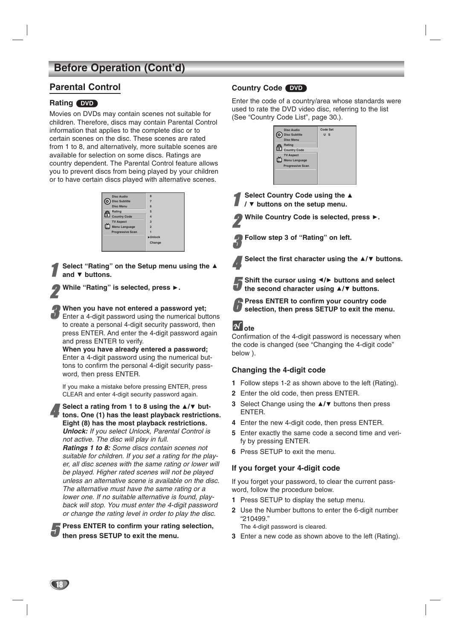### **Parental Control**

#### **Rating DVD**

Movies on DVDs may contain scenes not suitable for children. Therefore, discs may contain Parental Control information that applies to the complete disc or to certain scenes on the disc. These scenes are rated from 1 to 8, and alternatively, more suitable scenes are available for selection on some discs. Ratings are country dependent. The Parental Control feature allows you to prevent discs from being played by your children or to have certain discs played with alternative scenes.

|   | <b>Disc Audio</b>       | 8                            |
|---|-------------------------|------------------------------|
|   | <b>Disc Subtitle</b>    | $\overline{7}$               |
|   | <b>Disc Menu</b>        | 6                            |
|   | Rating                  | 5                            |
| ⊕ | <b>Country Code</b>     | $\overline{a}$               |
|   | <b>TV Aspect</b>        | $\overline{a}$               |
|   | Menu Language           | $\overline{2}$               |
|   | <b>Progressive Scan</b> |                              |
|   |                         | $\blacktriangleright$ Unlock |
|   |                         | Change                       |
|   |                         |                              |
|   |                         |                              |

1 **Select "Rating" on the Setup menu using the**  and  $\nabla$  buttons.

While "Rating" is selected, press  $\blacktriangleright$ .

#### 3 **When you have not entered a password yet;**

Enter a 4-digit password using the numerical buttons to create a personal 4-digit security password, then press ENTER. And enter the 4-digit password again and press ENTER to verify.

**When you have already entered a password;**  Enter a 4-digit password using the numerical buttons to confirm the personal 4-digit security password, then press ENTER.

If you make a mistake before pressing ENTER, press CLEAR and enter 4-digit security password again.

Select a rating from 1 to 8 using the  $\triangle$ / $\triangledown$  but**tons. One (1) has the least playback restrictions. Eight (8) has the most playback restrictions.** *Unlock: If you select Unlock, Parental Control is*

*not active. The disc will play in full. Ratings 1 to 8: Some discs contain scenes not suitable for children. If you set a rating for the player, all disc scenes with the same rating or lower will be played. Higher rated scenes will not be played unless an alternative scene is available on the disc. The alternative must have the same rating or a lower one. If no suitable alternative is found, playback will stop. You must enter the 4-digit password or change the rating level in order to play the disc.*

5 **Press ENTER to confirm your rating selection, then press SETUP to exit the menu.**

#### **Country Code DVD**

Enter the code of a country/area whose standards were used to rate the DVD video disc, referring to the list (See "Country Code List", page 30.).

| Disc Audio              | Code Set |
|-------------------------|----------|
| <b>Disc Subtitle</b>    | $U$ S    |
| <b>Disc Menu</b>        |          |
| Rating                  |          |
| Country Code            |          |
| <b>TV Aspect</b>        |          |
| Menu Language           |          |
| <b>Progressive Scan</b> |          |
|                         |          |
|                         |          |
|                         |          |

**Select Country Code using the ▲ / ▼ buttons on the setup menu.** 

While Country Code is selected, press  $\blacktriangleright$ .

- 3 **Follow step 3 of "Rating" on left.**
- Select the first character using the  $\triangle/\nabla$  buttons.



**Shift the cursor using**  $\triangleleft/\triangleright$  **buttons and select**<br>The second character using  $\triangleleft/\triangleright$  buttons the second character using  $\blacktriangle/\blacktriangledown$  buttons.



6 **Press ENTER to confirm your country code selection, then press SETUP to exit the menu.**

### $\mathbf{\mathcal{N}}$  ote

Confirmation of the 4-digit password is necessary when the code is changed (see "Changing the 4-digit code" below ).

#### **Changing the 4-digit code**

- **1** Follow steps 1-2 as shown above to the left (Rating).
- **2** Enter the old code, then press ENTER.
- **3** Select Change using the ▲/▼ buttons then press ENTER.
- **4** Enter the new 4-digit code, then press ENTER.
- **5** Enter exactly the same code a second time and verify by pressing ENTER.
- **6** Press SETUP to exit the menu.

#### **If you forget your 4-digit code**

If you forget your password, to clear the current password, follow the procedure below.

- **1** Press SETUP to display the setup menu.
- **2** Use the Number buttons to enter the 6-digit number "210499."

The 4-digit password is cleared.

**3** Enter a new code as shown above to the left (Rating).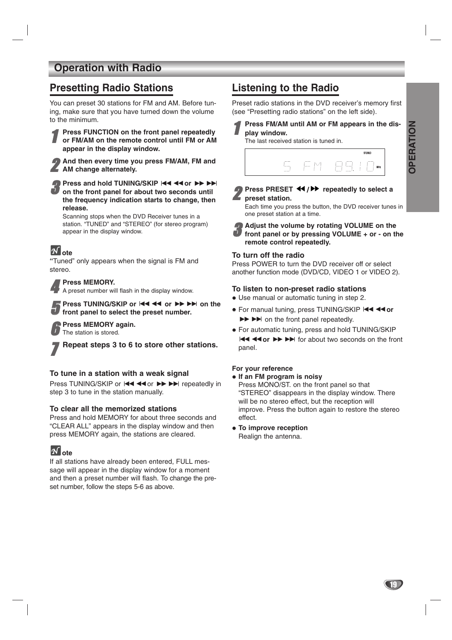### **Operation with Radio**

### **Presetting Radio Stations**

You can preset 30 stations for FM and AM. Before tuning, make sure that you have turned down the volume to the minimum.



2 **And then every time you press FM/AM, FM and AM change alternately.**

**P** Press and hold TUNING/SKIP  $\blacktriangleleft \blacktriangleleft \blacktriangleleft \diamond \blacktriangleright \blacktriangleright \blacktriangleright \diamond$  on the front panel for about two seconds until **the frequency indication starts to change, then release.**

Scanning stops when the DVD Receiver tunes in a station. "TUNED" and "STEREO" (for stereo program) appear in the display window.

## *M* ote

**"**Tuned" only appears when the signal is FM and stereo.

**Press MEMORY.**<br>A preset number will flash in the display window.

Press TUNING/SKIP or  $\blacktriangleleft$  44 or  $\blacktriangleright$   $\blacktriangleright$   $\blacktriangleright$  on the **front panel to select the preset number.**

6 **Press MEMORY again.** The station is stored.

7 **Repeat steps 3 to 6 to store other stations.**

#### **To tune in a station with a weak signal**

Press TUNING/SKIP or  $\blacktriangleleft \blacktriangleleft$  or  $\blacktriangleright \blacktriangleright \blacktriangleright \blacktriangleright$  repeatedly in step 3 to tune in the station manually.

#### **To clear all the memorized stations**

Press and hold MEMORY for about three seconds and "CLEAR ALL" appears in the display window and then press MEMORY again, the stations are cleared.

# $\mathbf{\mathcal{N}}$  ote

If all stations have already been entered, FULL message will appear in the display window for a moment and then a preset number will flash. To change the preset number, follow the steps 5-6 as above.

## **Listening to the Radio**

Preset radio stations in the DVD receiver's memory first (see "Presetting radio stations" on the left side).

Press FM/AM until AM or FM appears in the dis**play window.**

The last received station is tuned in.



**Press PRESET 44/PP** repeatedly to select a **preset station.**

Each time you press the button, the DVD receiver tunes in one preset station at a time.

3 **Adjust the volume by rotating VOLUME on the front panel or by pressing VOLUME + or - on the remote control repeatedly.**

#### **To turn off the radio**

Press POWER to turn the DVD receiver off or select another function mode (DVD/CD, VIDEO 1 or VIDEO 2).

#### **To listen to non-preset radio stations**

- Use manual or automatic tuning in step 2.
- For manual tuning, press TUNING/SKIP **I<4 <for**  $\blacktriangleright\blacktriangleright\blacktriangleright\blacktriangleright$  on the front panel repeatedly.
- For automatic tuning, press and hold TUNING/SKIP **EXECUTE:** FOR A FOR about two seconds on the front panel.

#### **For your reference**

- **If an FM program is noisy**

Press MONO/ST. on the front panel so that "STEREO" disappears in the display window. There will be no stereo effect, but the reception will improve. Press the button again to restore the stereo effect.

 $\bullet$  To improve reception Realign the antenna.

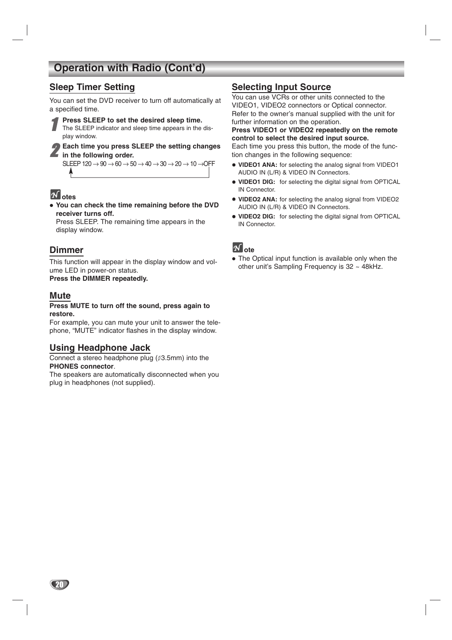## **Operation with Radio (Cont'd)**

### **Sleep Timer Setting**

You can set the DVD receiver to turn off automatically at a specified time.

**1 Press SLEEP to set the desired sleep time.**<br>The SLEEP indicator and sleep time appears in the display window.

#### 2 **Each time you press SLEEP the setting changes**  $\blacktriangle$  in the following order.

SLEEP  $120 \rightarrow 90 \rightarrow 60 \rightarrow 50 \rightarrow 40 \rightarrow 30 \rightarrow 20 \rightarrow 10 \rightarrow$ OFF

### **otes**

- **You can check the time remaining before the DVD receiver turns off.**

Press SLEEP. The remaining time appears in the display window.

### **Dimmer**

This function will appear in the display window and volume LED in power-on status. **Press the DIMMER repeatedly.**

### **Mute**

20

#### **Press MUTE to turn off the sound, press again to restore.**

For example, you can mute your unit to answer the telephone, "MUTE" indicator flashes in the display window.

#### **Using Headphone Jack**

Connect a stereo headphone plug  $($  $\emptyset$ 3.5mm) into the **PHONES connector**.

The speakers are automatically disconnected when you plug in headphones (not supplied).

### **Selecting Input Source**

You can use VCRs or other units connected to the VIDEO1, VIDEO2 connectors or Optical connector. Refer to the owner's manual supplied with the unit for further information on the operation.

#### **Press VIDEO1 or VIDEO2 repeatedly on the remote control to select the desired input source.**

Each time you press this button, the mode of the function changes in the following sequence:

- **VIDEO1 ANA:** for selecting the analog signal from VIDEO1 AUDIO IN (L/R) & VIDEO IN Connectors.
- **VIDEO1 DIG:** for selecting the digital signal from OPTICAL IN Connector.
- **VIDEO2 ANA:** for selecting the analog signal from VIDEO2 AUDIO IN (L/R) & VIDEO IN Connectors.
- **VIDEO2 DIG:** for selecting the digital signal from OPTICAL IN Connector.



• The Optical input function is available only when the other unit's Sampling Frequency is 32 ~ 48kHz.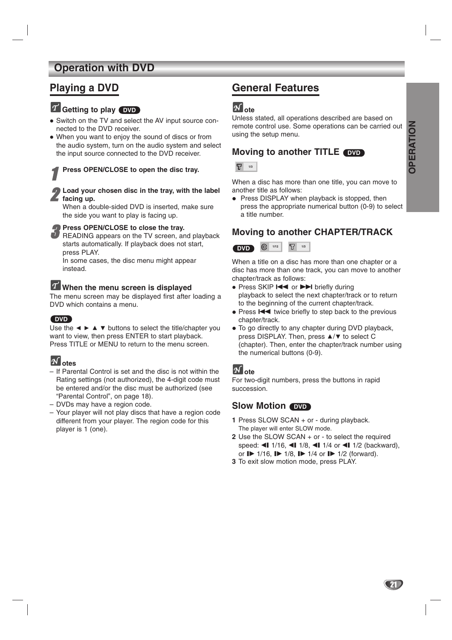### **Operation with DVD**

### **Playing a DVD**

### **Getting to play DVD**

- Switch on the TV and select the AV input source connected to the DVD receiver.
- When you want to enjoy the sound of discs or from the audio system, turn on the audio system and select the input source connected to the DVD receiver.

## Press OPEN/CLOSE to open the disc tray.

#### 2 **Load your chosen disc in the tray, with the label** *facing up.*

When a double-sided DVD is inserted, make sure the side you want to play is facing up.

#### **Press OPEN/CLOSE to close the tray.**

READING appears on the TV screen, and playback starts automatically. If playback does not start, press PLAY.

In some cases, the disc menu might appear instead.

### **When the menu screen is displayed**

The menu screen may be displayed first after loading a DVD which contains a menu.

### **DVD**

Use the  $\blacktriangle \blacktriangleright \blacktriangle \blacktriangleright$  buttons to select the title/chapter you want to view, then press ENTER to start playback. Press TITLE or MENU to return to the menu screen.

### **otes**

- If Parental Control is set and the disc is not within the Rating settings (not authorized), the 4-digit code must be entered and/or the disc must be authorized (see "Parental Control", on page 18).
- DVDs may have a region code.
- Your player will not play discs that have a region code different from your player. The region code for this player is 1 (one).

### **General Features**

### $\boldsymbol{N}$  ote

Unless stated, all operations described are based on remote control use. Some operations can be carried out using the setup menu.

### **Moving to another TITLE DVD**



When a disc has more than one title, you can move to another title as follows:

• Press DISPLAY when playback is stopped, then press the appropriate numerical button (0-9) to select a title number.

### **Moving to another CHAPTER/TRACK**



When a title on a disc has more than one chapter or a disc has more than one track, you can move to another chapter/track as follows:

- Press SKIP I<< or >>I briefly during playback to select the next chapter/track or to return to the beginning of the current chapter/track.
- Press  $\blacktriangleleft$  twice briefly to step back to the previous chapter/track.
- To go directly to any chapter during DVD playback, press DISPLAY. Then, press ▲/▼ to select C (chapter). Then, enter the chapter/track number using the numerical buttons (0-9).

### **ote**

For two-digit numbers, press the buttons in rapid succession.

### **Slow Motion DVD**

- **1** Press SLOW SCAN + or during playback. The player will enter SLOW mode.
- **2** Use the SLOW SCAN + or to select the required speed:  $\triangleleft$  1/16,  $\triangleleft$  1/8,  $\triangleleft$  1/4 or  $\triangleleft$  1/2 (backward), or  $\mathbb{I}$  1/16,  $\mathbb{I}$  1/8,  $\mathbb{I}$  1/4 or  $\mathbb{I}$  1/2 (forward).
- **3** To exit slow motion mode, press PLAY.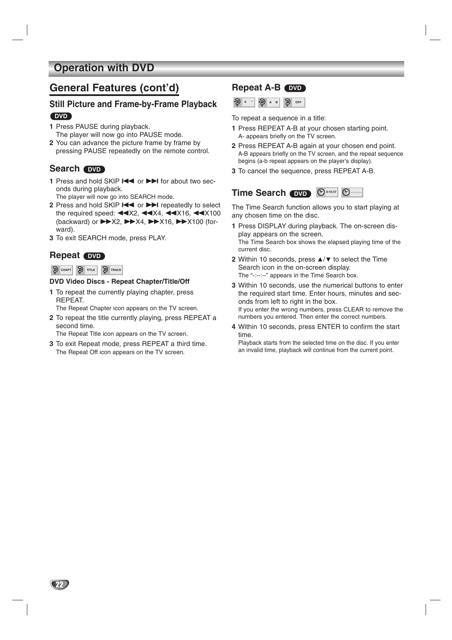### **Operation with DVD**

### **General Features (cont'd)**

#### **Still Picture and Frame-by-Frame Playback DVD**

- **1** Press PAUSE during playback. The player will now go into PAUSE mode.
- **2** You can advance the picture frame by frame by pressing PAUSE repeatedly on the remote control.

### Search **DVD**

- **1** Press and hold SKIP  $\blacktriangleleft$  or  $\blacktriangleright$  for about two seconds during playback.
- The player will now go into SEARCH mode.
- 2 Press and hold SKIP  $\blacktriangleleft$  or  $\blacktriangleright$  repeatedly to select the required speed:  $\blacktriangleleft$  X2,  $\blacktriangleleft$  X4,  $\blacktriangleleft$  X16,  $\blacktriangleleft$  X100 (backward) or  $\blacktriangleright\blacktriangleright$  X2,  $\blacktriangleright\blacktriangleright$  X4,  $\blacktriangleright\blacktriangleright$  X16,  $\blacktriangleright\blacktriangleright$  X100 (forward).
- **3** To exit SEARCH mode, press PLAY.

### **Repeat 
<b>DVD**

#### **CHAPT D** TITLE **D** TRACK

#### **DVD Video Discs - Repeat Chapter/Title/Off**

**1** To repeat the currently playing chapter, press REPEAT.

The Repeat Chapter icon appears on the TV screen.

**2** To repeat the title currently playing, press REPEAT a second time.

The Repeat Title icon appears on the TV screen.

**3** To exit Repeat mode, press REPEAT a third time. The Repeat Off icon appears on the TV screen.

### **Repeat A-B 
<b>DVD A**  $\cdot$  **A**  $\cdot$  **B**  $\cdot$  **B** OFF

To repeat a sequence in a title:

- **1** Press REPEAT A-B at your chosen starting point. A- appears briefly on the TV screen.
- **2** Press REPEAT A-B again at your chosen end point. A-B appears briefly on the TV screen, and the repeat sequence begins (a-b repeat appears on the player's display).
- **3** To cancel the sequence, press REPEAT A-B.

### $\bullet$  **C 0:16:57**  $\bullet$  **C 0:16:57**  $\bullet$

The Time Search function allows you to start playing at any chosen time on the disc.

- **1** Press DISPLAY during playback. The on-screen display appears on the screen. The Time Search box shows the elapsed playing time of the current disc.
- **2** Within 10 seconds, press  $\triangle/\nabla$  to select the Time Search icon in the on-screen display. The "-:--:--" appears in the Time Search box.
- **3** Within 10 seconds, use the numerical buttons to enter the required start time. Enter hours, minutes and seconds from left to right in the box. If you enter the wrong numbers, press CLEAR to remove the numbers you entered. Then enter the correct numbers.
- **4** Within 10 seconds, press ENTER to confirm the start time.

Playback starts from the selected time on the disc. If you enter an invalid time, playback will continue from the current point.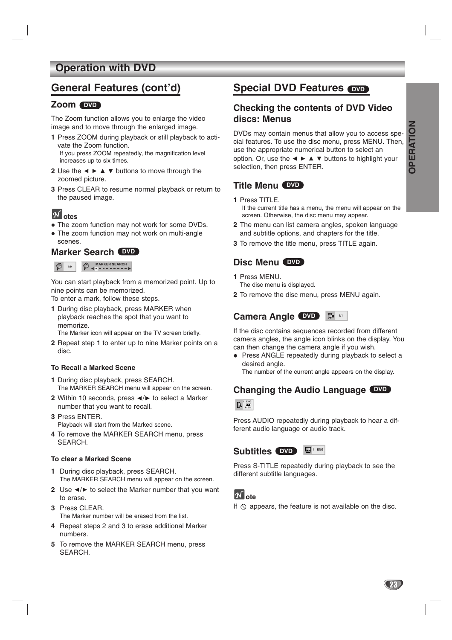### **Operation with DVD**

### **General Features (cont'd)**

### **Zoom DVD**

The Zoom function allows you to enlarge the video image and to move through the enlarged image.

- **1** Press ZOOM during playback or still playback to activate the Zoom function. If you press ZOOM repeatedly, the magnification level increases up to six times.
- **2** Use the  $\blacktriangle \blacktriangleright \blacktriangle \blacktriangleright$  buttons to move through the zoomed picture.
- **3** Press CLEAR to resume normal playback or return to the paused image.

### **otes**

- The zoom function may not work for some DVDs.
- The zoom function may not work on multi-angle

### scenes. **Marker Search DVD**

**9** 1/9 **9 MARKER SEARCH** 

You can start playback from a memorized point. Up to nine points can be memorized.

To enter a mark, follow these steps.

**1** During disc playback, press MARKER when playback reaches the spot that you want to memorize.

The Marker icon will appear on the TV screen briefly.

**2** Repeat step 1 to enter up to nine Marker points on a disc.

#### **To Recall a Marked Scene**

- **1** During disc playback, press SEARCH. The MARKER SEARCH menu will appear on the screen.
- **2** Within 10 seconds, press ◀/▶ to select a Marker number that you want to recall.
- **3** Press ENTER. Playback will start from the Marked scene.
- **4** To remove the MARKER SEARCH menu, press SEARCH.

#### **To clear a Marked Scene**

- **1** During disc playback, press SEARCH. The MARKER SEARCH menu will appear on the screen.
- **2** Use  $\triangleleft$  to select the Marker number that you want to erase.
- **3** Press CLEAR. The Marker number will be erased from the list.
- **4** Repeat steps 2 and 3 to erase additional Marker numbers.
- **5** To remove the MARKER SEARCH menu, press SEARCH.

### **Special DVD Features**  $\overline{\text{ow}}$

### **Checking the contents of DVD Video discs: Menus**

DVDs may contain menus that allow you to access special features. To use the disc menu, press MENU. Then, use the appropriate numerical button to select an option. Or, use the  $\blacktriangle \blacktriangleright \blacktriangle \blacktriangleright$  buttons to highlight your selection, then press ENTER.

### **Title Menu DVD**

#### **1** Press TITLE. If the current title has a menu, the menu will appear on the

- screen. Otherwise, the disc menu may appear. **2** The menu can list camera angles, spoken language
- and subtitle options, and chapters for the title.
- **3** To remove the title menu, press TITLE again.

### **Disc Menu DVD**

- **1** Press MENU.
- The disc menu is displayed.
- **2** To remove the disc menu, press MENU again.

### **Camera Angle DVD**  $\frac{44}{111}$

If the disc contains sequences recorded from different camera angles, the angle icon blinks on the display. You can then change the camera angle if you wish.

• Press ANGLE repeatedly during playback to select a desired angle.

The number of the current angle appears on the display.

### **Changing the Audio Language DVD**



Press AUDIO repeatedly during playback to hear a different audio language or audio track.



Press S-TITLE repeatedly during playback to see the different subtitle languages.

### **ote**

If  $\Diamond$  appears, the feature is not available on the disc.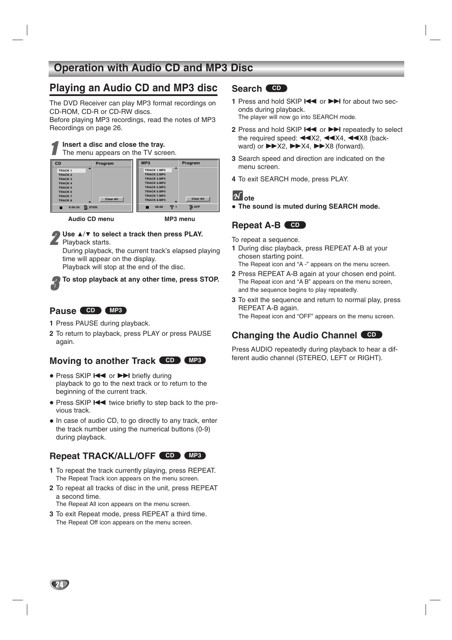### **Operation with Audio CD and MP3 Disc**

### **Playing an Audio CD and MP3 disc**

The DVD Receiver can play MP3 format recordings on CD-ROM, CD-R or CD-RW discs. Before playing MP3 recordings, read the notes of MP3

Recordings on page 26.

#### 1 **Insert a disc and close the tray.** The menu appears on the TV screen.



**Audio CD menu MP3 menu**

### **Use ▲/▼ to select a track then press PLAY.**

Playback starts.

During playback, the current track's elapsed playing time will appear on the display.

Playback will stop at the end of the disc.

To stop playback at any other time, press STOP.

### **Pause CD MP3**

- **1** Press PAUSE during playback.
- **2** To return to playback, press PLAY or press PAUSE again.

### **Moving to another Track CD MP3**

- Press SKIP I<< or >>I briefly during playback to go to the next track or to return to the beginning of the current track.
- Press SKIP.twice briefly to step back to the previous track.
- In case of audio CD, to go directly to any track, enter the track number using the numerical buttons (0-9) during playback.

### **Repeat TRACK/ALL/OFF CD MP3**

- **1** To repeat the track currently playing, press REPEAT. The Repeat Track icon appears on the menu screen.
- **2** To repeat all tracks of disc in the unit, press REPEAT a second time.

The Repeat All icon appears on the menu screen.

**3** To exit Repeat mode, press REPEAT a third time. The Repeat Off icon appears on the menu screen.

### **Search CD**

- **1** Press and hold SKIP  $\blacktriangleleft$  or  $\blacktriangleright$  for about two seconds during playback. The player will now go into SEARCH mode.
- **2** Press and hold SKIP  $\blacktriangleleft$  or  $\blacktriangleright$  repeatedly to select the required speed:  $\blacktriangleleft$  X2,  $\blacktriangleleft$  X4,  $\blacktriangleleft$  X8 (backward) or  $\blacktriangleright\!\!\!\blacktriangleright$ X2,  $\blacktriangleright\!\!\!\blacktriangleright$ X4,  $\blacktriangleright\!\!\!\blacktriangleright$ X8 (forward).
- **3** Search speed and direction are indicated on the menu screen.
- **4** To exit SEARCH mode, press PLAY.

### **ote**

- **The sound is muted during SEARCH mode.**

### Repeat A-B **CD**

To repeat a sequence.

**1** During disc playback, press REPEAT A-B at your chosen starting point.

The Repeat icon and "A -" appears on the menu screen.

- **2** Press REPEAT A-B again at your chosen end point. The Repeat icon and "A B" appears on the menu screen, and the sequence begins to play repeatedly.
- **3** To exit the sequence and return to normal play, press REPEAT A-B again. The Repeat icon and "OFF" appears on the menu screen.

### **Changing the Audio Channel CD**

Press AUDIO repeatedly during playback to hear a different audio channel (STEREO, LEFT or RIGHT).

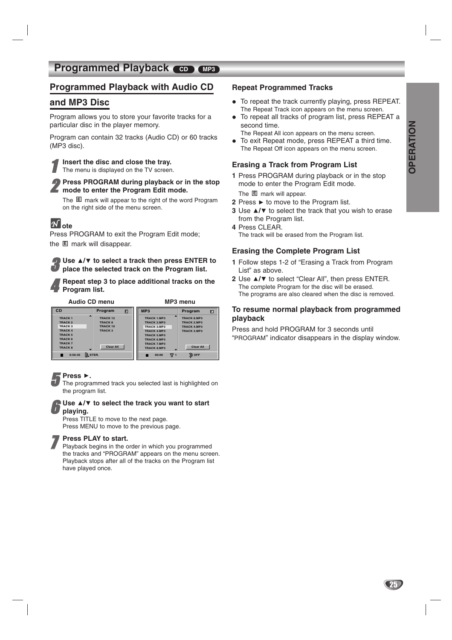### **Programmed Playback CD MP3**

### **Programmed Playback with Audio CD**

### **and MP3 Disc**

Program allows you to store your favorite tracks for a particular disc in the player memory.

Program can contain 32 tracks (Audio CD) or 60 tracks (MP3 disc).

1 **Insert the disc and close the tray.** The menu is displayed on the TV screen.

2 **Press PROGRAM during playback or in the stop k** mode to enter the Program Edit mode.

The mark will appear to the right of the word Program **E** on the right side of the menu screen.

## $M_{\text{ote}}$

Press PROGRAM to exit the Program Edit mode; the <sup>lamark</sup> will disappear.

Use **△/▼** to select a track then press ENTER to **place the selected track on the Program list.**

4 **Repeat step 3 to place additional tracks on the Program list.**

**Audio CD menu MP3 menu**

| CD                                                                                                                                 | Program                                                                            | 囸 | MP3                                                                                                                                                                   |     | Program<br>回                                                                               |
|------------------------------------------------------------------------------------------------------------------------------------|------------------------------------------------------------------------------------|---|-----------------------------------------------------------------------------------------------------------------------------------------------------------------------|-----|--------------------------------------------------------------------------------------------|
| <b>TRACK1</b><br><b>TRACK 2</b><br>TRACK 3<br><b>TRACK 4</b><br><b>TRACK5</b><br><b>TRACK 6</b><br><b>TRACK 7</b><br><b>TRACK8</b> | <b>TRACK 12</b><br><b>TRACK 8</b><br>TRACK 10<br><b>TRACK3</b><br><b>Clear All</b> |   | <b>TRACK 1.MP3</b><br><b>TRACK 2.MP3</b><br>TRACK 3.MP3<br><b>TRACK 4.MP3</b><br><b>TRACK 5.MP3</b><br><b>TRACK 6.MP3</b><br><b>TRACK 7.MP3</b><br><b>TRACK 8.MP3</b> |     | <b>TRACK 8.MP3</b><br>TRACK 2.MP3<br><b>TRACK 4.MP3</b><br>TRACK 3.MP3<br><b>Clear All</b> |
| <b>D.</b> STER.<br>0:56:35                                                                                                         |                                                                                    |   | 00:00                                                                                                                                                                 | 규 1 | <b>OFF</b>                                                                                 |

**Figure 3 Figure 1**<br>The programmed track you selected last is highlighted on the program list.

#### **Use ▲/▼ to select the track you want to start playing.**

Press TITLE to move to the next page. Press MENU to move to the previous page.

**7 Press PLAY to start.**<br>Playback begins in the order in which you programmed the tracks and "PROGRAM" appears on the menu screen. Playback stops after all of the tracks on the Program list have played once.

#### **Repeat Programmed Tracks**

- To repeat the track currently playing, press REPEAT. The Repeat Track icon appears on the menu screen.
- $\bullet$  To repeat all tracks of program list, press REPEAT a second time.
- The Repeat All icon appears on the menu screen.  $\bullet$ To exit Repeat mode, press REPEAT a third time.
- The Repeat Off icon appears on the menu screen.

#### **Erasing a Track from Program List**

**1** Press PROGRAM during playback or in the stop mode to enter the Program Edit mode.

The  $E$  mark will appear.

- **2** Press ▶ to move to the Program list.
- **3** Use **△/▼** to select the track that you wish to erase from the Program list.
- **4** Press CLEAR. The track will be erased from the Program list.

#### **Erasing the Complete Program List**

- **1** Follow steps 1-2 of "Erasing a Track from Program List" as above.
- **2** Use **△/▼** to select "Clear All", then press ENTER. The complete Program for the disc will be erased. The programs are also cleared when the disc is removed.

#### **To resume normal playback from programmed playback**

Press and hold PROGRAM for 3 seconds until "PROGRAM" indicator disappears in the display window.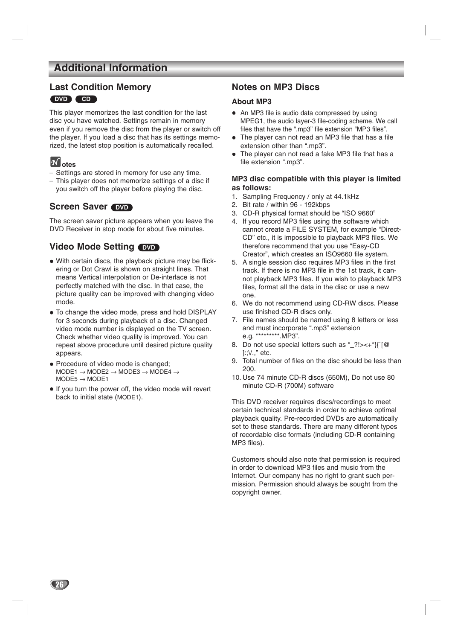### **Additional Information**

### **Last Condition Memory DVD CD**

This player memorizes the last condition for the last disc you have watched. Settings remain in memory even if you remove the disc from the player or switch off the player. If you load a disc that has its settings memorized, the latest stop position is automatically recalled.

### **otes**

- Settings are stored in memory for use any time.
- This player does not memorize settings of a disc if you switch off the player before playing the disc.

### **Screen Saver** *OVD*

The screen saver picture appears when you leave the DVD Receiver in stop mode for about five minutes.

### **Video Mode Setting DVD**

- With certain discs, the playback picture may be flickering or Dot Crawl is shown on straight lines. That means Vertical interpolation or De-interlace is not perfectly matched with the disc. In that case, the picture quality can be improved with changing video mode.
- To change the video mode, press and hold DISPLAY for 3 seconds during playback of a disc. Changed video mode number is displayed on the TV screen. Check whether video quality is improved. You can repeat above procedure until desired picture quality appears.
- Procedure of video mode is changed;  $MODE1 \rightarrow MODE2 \rightarrow MODE3 \rightarrow MODE4 \rightarrow$  $MODE5 \rightarrow MODE1$
- If you turn the power off, the video mode will revert back to initial state (MODE1).

### **Notes on MP3 Discs**

#### **About MP3**

- An MP3 file is audio data compressed by using MPEG1, the audio layer-3 file-coding scheme. We call files that have the ".mp3" file extension "MP3 files".
- The player can not read an MP3 file that has a file extension other than ".mp3".
- $\bullet$  The player can not read a fake MP3 file that has a file extension ".mp3".

#### **MP3 disc compatible with this player is limited as follows:**

- 1. Sampling Frequency / only at 44.1kHz
- 2. Bit rate / within 96 192kbps
- 3. CD-R physical format should be "ISO 9660"
- 4. If you record MP3 files using the software which cannot create a FILE SYSTEM, for example "Direct-CD" etc., it is impossible to playback MP3 files. We therefore recommend that you use "Easy-CD Creator", which creates an ISO9660 file system.
- 5. A single session disc requires MP3 files in the first track. If there is no MP3 file in the 1st track, it cannot playback MP3 files. If you wish to playback MP3 files, format all the data in the disc or use a new one.
- 6. We do not recommend using CD-RW discs. Please use finished CD-R discs only.
- 7. File names should be named using 8 letters or less and must incorporate ".mp3" extension e.g. "\*\*\*\*\*\*\*\*\*.MP3".
- 8. Do not use special letters such as "\_?!><+\*}{`[@ ]:;\/.," etc.
- 9. Total number of files on the disc should be less than 200.
- 10. Use 74 minute CD-R discs (650M), Do not use 80 minute CD-R (700M) software

This DVD receiver requires discs/recordings to meet certain technical standards in order to achieve optimal playback quality. Pre-recorded DVDs are automatically set to these standards. There are many different types of recordable disc formats (including CD-R containing MP3 files).

Customers should also note that permission is required in order to download MP3 files and music from the Internet. Our company has no right to grant such permission. Permission should always be sought from the copyright owner.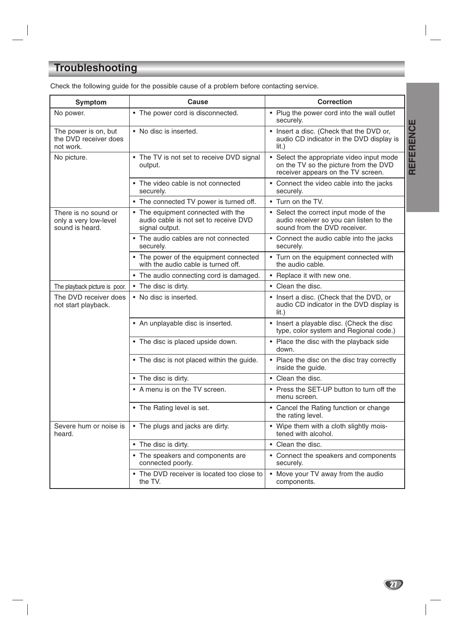# **Troubleshooting**

| <b>Symptom</b>                                                   | Cause                                                                                         | <b>Correction</b>                                                                                                            |  |  |
|------------------------------------------------------------------|-----------------------------------------------------------------------------------------------|------------------------------------------------------------------------------------------------------------------------------|--|--|
| No power.                                                        | • The power cord is disconnected.                                                             | • Plug the power cord into the wall outlet<br>securely.                                                                      |  |  |
| The power is on, but<br>the DVD receiver does<br>not work.       | • No disc is inserted.                                                                        | • Insert a disc. (Check that the DVD or,<br>audio CD indicator in the DVD display is<br>$lit.$ )                             |  |  |
| No picture.                                                      | • The TV is not set to receive DVD signal<br>output.                                          | Select the appropriate video input mode<br>on the TV so the picture from the DVD<br>receiver appears on the TV screen.       |  |  |
|                                                                  | The video cable is not connected<br>securely.                                                 | • Connect the video cable into the jacks<br>securely.                                                                        |  |  |
|                                                                  | • The connected TV power is turned off.                                                       | • Turn on the TV.                                                                                                            |  |  |
| There is no sound or<br>only a very low-level<br>sound is heard. | • The equipment connected with the<br>audio cable is not set to receive DVD<br>signal output. | Select the correct input mode of the<br>$\bullet$<br>audio receiver so you can listen to the<br>sound from the DVD receiver. |  |  |
|                                                                  | • The audio cables are not connected<br>securely.                                             | • Connect the audio cable into the jacks<br>securely.                                                                        |  |  |
|                                                                  | • The power of the equipment connected<br>with the audio cable is turned off.                 | • Turn on the equipment connected with<br>the audio cable.                                                                   |  |  |
|                                                                  | • The audio connecting cord is damaged.                                                       | • Replace it with new one.                                                                                                   |  |  |
| The playback picture is poor.                                    | • The disc is dirty.                                                                          | • Clean the disc.                                                                                                            |  |  |
| The DVD receiver does<br>not start playback.                     | • No disc is inserted.                                                                        | • Insert a disc. (Check that the DVD, or<br>audio CD indicator in the DVD display is<br>$\overline{\mathsf{lit}}$ .          |  |  |
|                                                                  | • An unplayable disc is inserted.                                                             | • Insert a playable disc. (Check the disc<br>type, color system and Regional code.)                                          |  |  |
|                                                                  | • The disc is placed upside down.                                                             | • Place the disc with the playback side<br>down.                                                                             |  |  |
|                                                                  | • The disc is not placed within the guide.                                                    | • Place the disc on the disc tray correctly<br>inside the guide.                                                             |  |  |
|                                                                  | • The disc is dirty.                                                                          | • Clean the disc.                                                                                                            |  |  |
|                                                                  | • A menu is on the TV screen.                                                                 | • Press the SET-UP button to turn off the<br>menu screen.                                                                    |  |  |
|                                                                  | • The Rating level is set.                                                                    | • Cancel the Rating function or change<br>the rating level.                                                                  |  |  |
| Severe hum or noise is<br>heard.                                 | • The plugs and jacks are dirty.                                                              | • Wipe them with a cloth slightly mois-<br>tened with alcohol.                                                               |  |  |
|                                                                  | • The disc is dirty.                                                                          | • Clean the disc.                                                                                                            |  |  |
|                                                                  | • The speakers and components are<br>connected poorly.                                        | • Connect the speakers and components<br>securely.                                                                           |  |  |
|                                                                  | The DVD receiver is located too close to<br>the TV.                                           | • Move your TV away from the audio<br>components.                                                                            |  |  |

Check the following guide for the possible cause of a problem before contacting service.

**REFERENCE REFERENCE**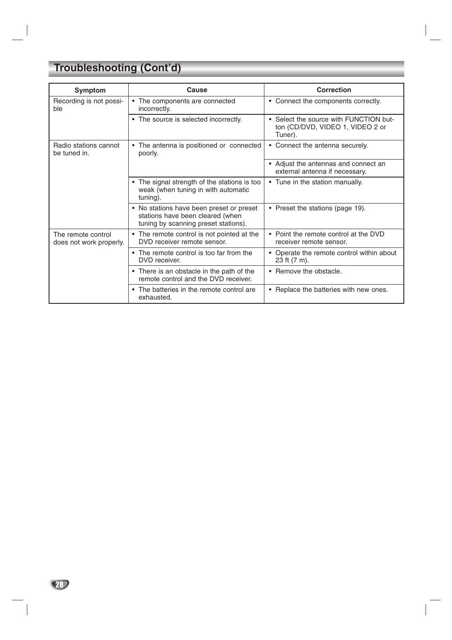# **Troubleshooting (Cont'd)**

| Symptom                                       | Cause                                                                                                                | <b>Correction</b>                                                                     |
|-----------------------------------------------|----------------------------------------------------------------------------------------------------------------------|---------------------------------------------------------------------------------------|
| Recording is not possi-<br>ble                | The components are connected<br>incorrectly.                                                                         | • Connect the components correctly.                                                   |
|                                               | • The source is selected incorrectly.                                                                                | • Select the source with FUNCTION but-<br>ton (CD/DVD, VIDEO 1, VIDEO 2 or<br>Tuner). |
| Radio stations cannot<br>be tuned in.         | • The antenna is positioned or connected<br>poorly.                                                                  | • Connect the antenna securely.                                                       |
|                                               |                                                                                                                      | • Adjust the antennas and connect an<br>external antenna if necessary.                |
|                                               | • The signal strength of the stations is too<br>weak (when tuning in with automatic<br>tuning).                      | • Tune in the station manually.                                                       |
|                                               | • No stations have been preset or preset<br>stations have been cleared (when<br>tuning by scanning preset stations). | • Preset the stations (page 19).                                                      |
| The remote control<br>does not work properly. | • The remote control is not pointed at the<br>DVD receiver remote sensor.                                            | • Point the remote control at the DVD<br>receiver remote sensor.                      |
|                                               | • The remote control is too far from the<br>DVD receiver.                                                            | • Operate the remote control within about<br>23 ft (7 m).                             |
|                                               | • There is an obstacle in the path of the<br>remote control and the DVD receiver.                                    | • Remove the obstacle.                                                                |
|                                               | • The batteries in the remote control are<br>exhausted.                                                              | • Replace the batteries with new ones.                                                |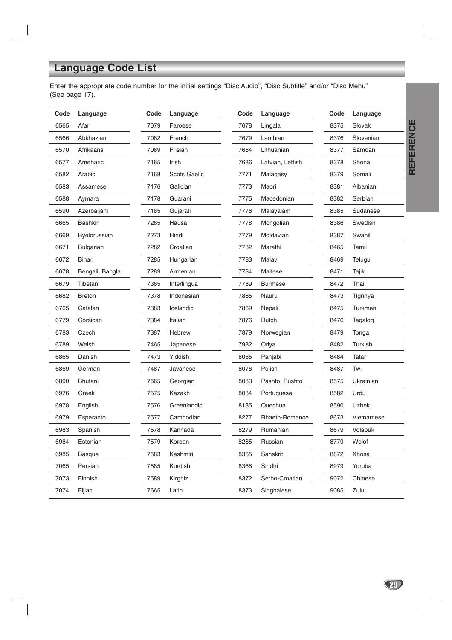# **Language Code List**

Enter the appropriate code number for the initial settings "Disc Audio", "Disc Subtitle" and/or "Disc Menu" (See page 17).

| Code | Language         | Code | Language            | Code | Language         | Code | Language   |
|------|------------------|------|---------------------|------|------------------|------|------------|
| 6565 | Afar             | 7079 | Faroese             | 7678 | Lingala          | 8375 | Slovak     |
| 6566 | Abkhazian        | 7082 | French              | 7679 | Laothian         | 8376 | Slovenian  |
| 6570 | Afrikaans        | 7089 | Frisian             | 7684 | Lithuanian       | 8377 | Samoan     |
| 6577 | Ameharic         | 7165 | Irish               | 7686 | Latvian, Lettish | 8378 | Shona      |
| 6582 | Arabic           | 7168 | <b>Scots Gaelic</b> | 7771 | Malagasy         | 8379 | Somali     |
| 6583 | Assamese         | 7176 | Galician            | 7773 | Maori            | 8381 | Albanian   |
| 6588 | Aymara           | 7178 | Guarani             | 7775 | Macedonian       | 8382 | Serbian    |
| 6590 | Azerbaijani      | 7185 | Gujarati            | 7776 | Malayalam        | 8385 | Sudanese   |
| 6665 | <b>Bashkir</b>   | 7265 | Hausa               | 7778 | Mongolian        | 8386 | Swedish    |
| 6669 | Byelorussian     | 7273 | Hindi               | 7779 | Moldavian        | 8387 | Swahili    |
| 6671 | <b>Bulgarian</b> | 7282 | Croatian            | 7782 | Marathi          | 8465 | Tamil      |
| 6672 | Bihari           | 7285 | Hungarian           | 7783 | Malay            | 8469 | Telugu     |
| 6678 | Bengali; Bangla  | 7289 | Armenian            | 7784 | Maltese          | 8471 | Tajik      |
| 6679 | Tibetan          | 7365 | Interlingua         | 7789 | <b>Burmese</b>   | 8472 | Thai       |
| 6682 | <b>Breton</b>    | 7378 | Indonesian          | 7865 | Nauru            | 8473 | Tigrinya   |
| 6765 | Catalan          | 7383 | Icelandic           | 7869 | Nepali           | 8475 | Turkmen    |
| 6779 | Corsican         | 7384 | Italian             | 7876 | Dutch            | 8476 | Tagalog    |
| 6783 | Czech            | 7387 | Hebrew              | 7879 | Norwegian        | 8479 | Tonga      |
| 6789 | Welsh            | 7465 | Japanese            | 7982 | Oriya            | 8482 | Turkish    |
| 6865 | Danish           | 7473 | Yiddish             | 8065 | Panjabi          | 8484 | Tatar      |
| 6869 | German           | 7487 | Javanese            | 8076 | Polish           | 8487 | Twi        |
| 6890 | Bhutani          | 7565 | Georgian            | 8083 | Pashto, Pushto   | 8575 | Ukrainian  |
| 6976 | Greek            | 7575 | Kazakh              | 8084 | Portuguese       | 8582 | Urdu       |
| 6978 | English          | 7576 | Greenlandic         | 8185 | Quechua          | 8590 | Uzbek      |
| 6979 | Esperanto        | 7577 | Cambodian           | 8277 | Rhaeto-Romance   | 8673 | Vietnamese |
| 6983 | Spanish          | 7578 | Kannada             | 8279 | Rumanian         | 8679 | Volapük    |
| 6984 | Estonian         | 7579 | Korean              | 8285 | Russian          | 8779 | Wolof      |
| 6985 | <b>Basque</b>    | 7583 | Kashmiri            | 8365 | Sanskrit         | 8872 | Xhosa      |
| 7065 | Persian          | 7585 | Kurdish             | 8368 | Sindhi           | 8979 | Yoruba     |
| 7073 | Finnish          | 7589 | Kirghiz             | 8372 | Serbo-Croatian   | 9072 | Chinese    |
| 7074 | Fijian           | 7665 | Latin               | 8373 | Singhalese       | 9085 | Zulu       |

**REFERENCE REFERENCE**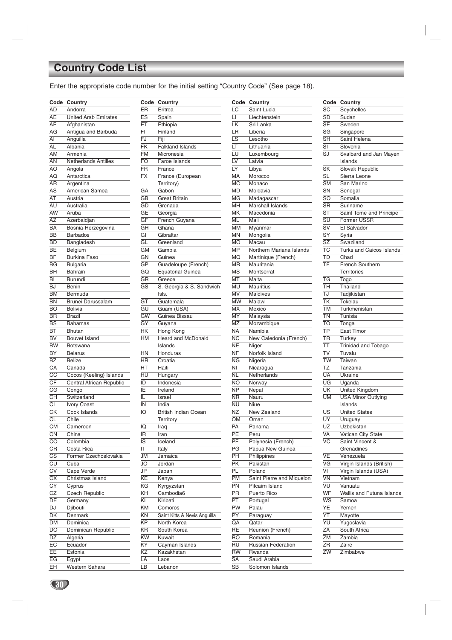# **Country Code List**

Enter the appropriate code number for the initial setting "Country Code" (See page 18).

| Code                                         | Country                     |
|----------------------------------------------|-----------------------------|
| AD                                           | Andorra                     |
| AE                                           | <b>United Arab Emirates</b> |
| AF                                           | Afghanistan                 |
| AG                                           | Antigua and Barbuda         |
| AI                                           | Anguilla                    |
| AL                                           | Albania                     |
| AM                                           | Armenia                     |
| AN                                           | <b>Netherlands Antilles</b> |
| AO                                           | Angola                      |
| ÄQ                                           | Antarctica                  |
| AR                                           |                             |
| $\overline{AS}$                              | Argentina<br>American Samoa |
| AT                                           | Austria                     |
|                                              |                             |
| AU                                           | Australia                   |
| AW                                           | Aruba                       |
| AZ                                           | Azerbaidjan                 |
| ĒА                                           | Bosnia-Herzegovina          |
| <b>BB</b>                                    | <b>Barbados</b>             |
| <b>BD</b>                                    | Bangladesh                  |
| BE                                           | Belgium                     |
| <b>BF</b>                                    | <b>Burkina Faso</b>         |
| <b>BG</b>                                    | <b>Bulgaria</b>             |
| BH                                           | Bahrain                     |
| BI                                           | Burundi                     |
| BJ                                           | Benin                       |
| ËМ                                           | Bermuda                     |
| <b>BN</b>                                    | Brunei Darussalam           |
| <b>BO</b>                                    | <b>Bolivia</b>              |
| <b>BR</b>                                    | <b>Brazil</b>               |
| <b>BS</b>                                    | <b>Bahamas</b>              |
| ВT                                           | Bhutan                      |
| вv                                           |                             |
|                                              | <b>Bouvet Island</b>        |
| <b>BW</b>                                    | Botswana                    |
| BY                                           | <b>Belarus</b>              |
| <b>BZ</b>                                    | <b>Belize</b>               |
| $\overline{\mathsf{CA}}$                     | Canada                      |
| $\overline{\text{cc}}$                       | Cocos (Keeling) Islands     |
| CF                                           | Central African Republic    |
| CG                                           | Congo                       |
| CH                                           | Switzerland                 |
| CI                                           | <b>Ivory Coast</b>          |
| СK                                           | Cook Islands                |
| CL                                           | Chile                       |
| <b>CM</b>                                    | Cameroon                    |
| $\overline{\text{CN}}$                       | China                       |
| CO                                           | Colombia                    |
| $\overline{\overline{\mathsf{C}}\mathsf{R}}$ | Costa Rica                  |
| $\overline{\text{cs}}$                       | Former Czechoslovakia       |
| CU                                           | Cuba                        |
| $\overline{\text{cv}}$                       | Cape Verde                  |
| cх                                           | Christmas Island            |
| $\overline{\text{c}\text{y}}$                |                             |
| CZ                                           | Cyprus                      |
|                                              | <b>Czech Republic</b>       |
| DE                                           | Germany                     |
| DJ                                           | Djibouti                    |
| DK                                           | Denmark                     |
| DM                                           | Dominica                    |
| DO                                           | Dominican Republic          |
| DZ                                           | Algeria                     |
| EC                                           | Ecuador                     |
| EE                                           | Estonia                     |
| EG                                           | Egypt                       |
| EΗ                                           | Western Sahara              |

| Code                     | Country                                 |
|--------------------------|-----------------------------------------|
| ER                       | Eritrea                                 |
| ES                       | Spain                                   |
| ЕŦ                       | Ethiopia                                |
| FI                       | Finland                                 |
| FJ                       | Fiji                                    |
| $\overline{\mathsf{FK}}$ | <b>Falkland Islands</b>                 |
| FM                       | Micronesia                              |
| FO                       | Faroe Islands                           |
| FR                       | France                                  |
| $\overline{\mathsf{FX}}$ | France (European                        |
|                          | Territory)                              |
| GА                       | Gabon                                   |
| GВ                       | <b>Great Britain</b>                    |
| GD                       | Grenada                                 |
| GE                       | Georgia                                 |
| GF                       | French Guyana                           |
| GΗ                       | Ghana                                   |
| GI                       | Gibraltar                               |
| GL                       | Greenland                               |
| GM                       | Gambia                                  |
| GΝ                       | Guinea                                  |
| GР                       | Guadeloupe (French)                     |
| GQ                       | <b>Equatorial Guinea</b>                |
| GR                       | Greece                                  |
| GS                       | S. Georgia & S. Sandwich                |
|                          | lsls.                                   |
| GТ                       | Guatemala                               |
| GU                       | Guam (USA)                              |
| $\overline{\text{GW}}$   | Guinea Bissau                           |
| GY                       | Guyana                                  |
| HΚ                       | Hong Kong                               |
| HМ                       | <b>Heard and McDonald</b>               |
|                          | Islands                                 |
| ΗN                       | Honduras                                |
| ΗR                       | Croatia                                 |
| НT                       | Haiti                                   |
| HU                       | Hungary                                 |
| ID                       | Indonesia                               |
| ÏΕ                       | Ireland                                 |
| IL                       | Israel                                  |
| IN                       | India                                   |
| IO                       | <b>British Indian Ocean</b>             |
|                          | Territory                               |
| IQ                       | Iraq                                    |
| ΙR                       | Iran<br>Iceland                         |
| IS                       |                                         |
| ΙT                       | Italy                                   |
| JM                       | Jamaica                                 |
| JO                       | Jordan                                  |
| JP                       | Japan                                   |
| KΕ                       | Kenya<br>Kyrgyzstan                     |
| ΚG<br>KΗ                 | Cambodia6                               |
| ΚI                       | Kiribati                                |
| ΚM                       |                                         |
| ΚN                       | Comoros<br>Saint Kitts & Nevis Anguilla |
| ΚP                       | North Korea                             |
| ΚR                       | South Korea                             |
| ΚW                       | Kuwait                                  |
| ΚY                       | Cayman Islands                          |
| ΚZ                       | Kazakhstan                              |
| LA                       | Laos                                    |
| LВ                       | Lebanon                                 |
|                          |                                         |

| Code            | Country                   |
|-----------------|---------------------------|
| LC              | Saint Lucia               |
| LI              | Liechtenstein             |
| LK              | Sri Lanka                 |
| LR              | Liberia                   |
| LS              | Lesotho                   |
| LT              | Lithuania                 |
| LU              | Luxembourg                |
| LV              | Latvia                    |
| LY              | Libya                     |
| МA              | Morocco                   |
| МC              | Monaco                    |
| MD              | Moldavia                  |
| MG              | Madagascar                |
| MН              | Marshall Islands          |
| MΚ              | Macedonia                 |
| ML              | Mali                      |
| МM              | Myanmar                   |
| MN              | Mongolia                  |
| МO              | Macau                     |
| МP              | Northern Mariana Islands  |
| MQ              | Martinique (French)       |
| MR              | Mauritania                |
| ΜS              | Montserrat                |
| МT              | Malta                     |
| MU              | <b>Mauritius</b>          |
|                 |                           |
| MV<br>MW        | <b>Maldives</b>           |
|                 | Malawi<br>Mexico          |
| MX              |                           |
| MY              | Malaysia                  |
| MΖ              | Mozambique                |
| NΑ              | Namibia                   |
| ΝC              | New Caledonia (French)    |
| NΕ              | Niger                     |
| ΝF              | Norfolk Island            |
| ΝG              | Nigeria                   |
| NI              | Nicaragua                 |
| NL              | Netherlands               |
| NΟ              | Norway                    |
| NΡ              | Nepal                     |
| ΝR              | Nauru                     |
| NU              | Niue                      |
| NΖ              | New Zealand               |
| ŌМ              | Oman                      |
| PA              | Panama                    |
| $\overline{PE}$ | Peru                      |
| PF              | Polynesia (French)        |
| ΡG              | Papua New Guinea          |
| PН              | Philippines               |
| PΚ              | Pakistan                  |
| PL              | Poland                    |
| РM              | Saint Pierre and Miquelon |
| PN              | Pitcairn Island           |
| ΡR              | Puerto Rico               |
| PT              | Portugal                  |
| PW              | Palau                     |
| FΥ              | Paraguay                  |
| QA              | Qatar                     |
| RE              | Reunion (French)          |
| RO              | Romania                   |
| RU              | Russian Federation        |
| <b>RW</b>       | Rwanda                    |
| SA              | Saudi Arabia              |
| SВ              | Solomon Islands           |

| Code                              | Country                         |  |  |
|-----------------------------------|---------------------------------|--|--|
| SC                                | Seychelles                      |  |  |
| SD                                | Sudan                           |  |  |
| ŜЕ                                | Sweden                          |  |  |
| SG                                | Singapore                       |  |  |
| ŜН                                | Saint Helena                    |  |  |
| SI                                | Slovenia                        |  |  |
| SJ                                | Svalbard and Jan Mayen          |  |  |
|                                   | Islands                         |  |  |
| ŜΚ                                | <b>Slovak Republic</b>          |  |  |
| ŜL                                | Sierra Leone                    |  |  |
| ŜМ                                | San Marino                      |  |  |
| $\overline{\text{SN}}$            |                                 |  |  |
| <b>SO</b>                         | Senegal<br>Somalia              |  |  |
| $\overline{\text{SR}}$            | Suriname                        |  |  |
| ST                                |                                 |  |  |
| śυ                                | Saint Tome and Principe         |  |  |
|                                   | Former USSR                     |  |  |
| Ŝ٧                                | El Salvador                     |  |  |
| SY                                | Syria                           |  |  |
| $\overline{\text{sz}}$            | Swaziland                       |  |  |
| ТC                                | <b>Turks and Caicos Islands</b> |  |  |
| TD                                | Chad                            |  |  |
| TF                                | French Southern                 |  |  |
|                                   | <b>Territories</b>              |  |  |
| $\overline{\text{TG}}$            | Togo                            |  |  |
| тн                                | Thailand                        |  |  |
| TJ                                | Tadjikistan                     |  |  |
| TK                                | Tokelau                         |  |  |
| <b>TM</b>                         | Turkmenistan                    |  |  |
| TN                                | Tunisia                         |  |  |
| <b>TO</b>                         | Tonga                           |  |  |
| ТP                                | East Timor                      |  |  |
| TR                                | Turkey                          |  |  |
| ТT                                | <b>Trinidad and Tobago</b>      |  |  |
| $\overline{\text{TV}}$            | Tuvalu                          |  |  |
| $\overline{\text{TW}}$            | Taiwan                          |  |  |
| ΤZ                                | Tanzania                        |  |  |
| UA                                | Ukraine                         |  |  |
| UG                                | Uganda                          |  |  |
| UK                                | United Kingdom                  |  |  |
| UM                                | <b>USA Minor Outlying</b>       |  |  |
|                                   | Islands                         |  |  |
| US                                | <b>United States</b>            |  |  |
| ŪÝ                                | Uruguay                         |  |  |
| ūΖ                                | Uzbekistan                      |  |  |
| $\overline{\mathsf{VA}}$          | Vatican City State              |  |  |
| VC                                | Saint Vincent &                 |  |  |
|                                   | Grenadines                      |  |  |
| $\overline{\mathsf{VE}}$          | Venezuela                       |  |  |
| $\overline{\mathsf{V}}\mathsf{G}$ | Virgin Islands (British)        |  |  |
| $\overline{\mathsf{v}}$ l         | Virgin Islands (USA)            |  |  |
| $\overline{VN}$                   | Vietnam                         |  |  |
| VU                                | Vanuatu                         |  |  |
| WF                                | Wallis and Futuna Islands       |  |  |
| $\overline{\mathsf{WS}}$          |                                 |  |  |
| YE                                | Samoa                           |  |  |
|                                   | Yemen                           |  |  |
| ΥT                                | Mayotte                         |  |  |
| YU                                | Yugoslavia                      |  |  |
| $\overline{ZA}$                   | South Africa                    |  |  |
| ZM                                | Zambia                          |  |  |
| ΖR                                | Zaire                           |  |  |
| ZW                                | Zimbabwe                        |  |  |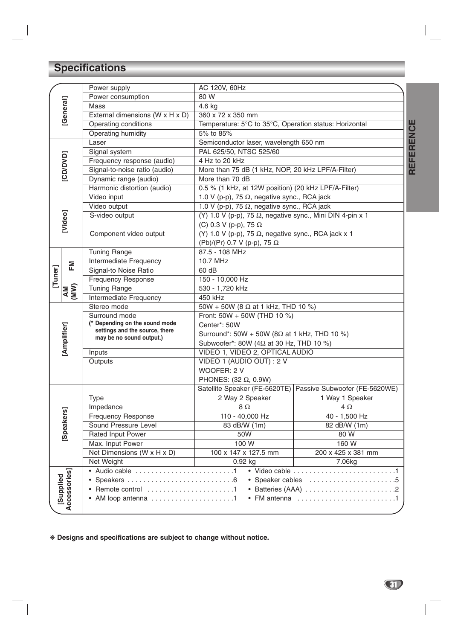# **Specifications**

|                 |                           | Power supply                                                                                                                                           | AC 120V, 60Hz                                                     |                               |  |
|-----------------|---------------------------|--------------------------------------------------------------------------------------------------------------------------------------------------------|-------------------------------------------------------------------|-------------------------------|--|
|                 |                           | Power consumption                                                                                                                                      | 80 W                                                              |                               |  |
|                 | [General]                 | Mass                                                                                                                                                   | 4.6 kg                                                            |                               |  |
|                 |                           | External dimensions (W x H x D)                                                                                                                        | 360 x 72 x 350 mm                                                 |                               |  |
|                 |                           | Operating conditions                                                                                                                                   | Temperature: 5°C to 35°C, Operation status: Horizontal            |                               |  |
|                 |                           | Operating humidity                                                                                                                                     | 5% to 85%                                                         |                               |  |
|                 |                           | Laser                                                                                                                                                  | Semiconductor laser, wavelength 650 nm                            |                               |  |
| [CD/DVD]        |                           | Signal system                                                                                                                                          | PAL 625/50, NTSC 525/60                                           |                               |  |
|                 |                           | Frequency response (audio)                                                                                                                             | 4 Hz to 20 kHz                                                    |                               |  |
|                 |                           | Signal-to-noise ratio (audio)                                                                                                                          | More than 75 dB (1 kHz, NOP, 20 kHz LPF/A-Filter)                 |                               |  |
|                 |                           | Dynamic range (audio)                                                                                                                                  | More than 70 dB                                                   |                               |  |
|                 |                           | Harmonic distortion (audio)                                                                                                                            | 0.5 % (1 kHz, at 12W position) (20 kHz LPF/A-Filter)              |                               |  |
|                 |                           | Video input                                                                                                                                            | 1.0 V (p-p), 75 $\Omega$ , negative sync., RCA jack               |                               |  |
|                 |                           | Video output                                                                                                                                           | 1.0 V (p-p), 75 $\Omega$ , negative sync., RCA jack               |                               |  |
|                 |                           | S-video output                                                                                                                                         | (Y) 1.0 V (p-p), 75 $\Omega$ , negative sync., Mini DIN 4-pin x 1 |                               |  |
|                 | [Video]                   |                                                                                                                                                        | (C) 0.3 V (p-p), 75 $\Omega$                                      |                               |  |
|                 |                           | Component video output                                                                                                                                 | (Y) 1.0 V (p-p), 75 $\Omega$ , negative sync., RCA jack x 1       |                               |  |
|                 |                           |                                                                                                                                                        | (Pb)/(Pr) 0.7 V (p-p), 75 Ω                                       |                               |  |
|                 |                           | <b>Tuning Range</b>                                                                                                                                    | 87.5 - 108 MHz                                                    |                               |  |
|                 |                           | Intermediate Frequency                                                                                                                                 | 10.7 MHz                                                          |                               |  |
|                 | 운                         | Signal-to Noise Ratio<br>60 dB                                                                                                                         |                                                                   |                               |  |
| $[{\tt Tuner}]$ |                           | <b>Frequency Response</b>                                                                                                                              | 150 - 10,000 Hz                                                   |                               |  |
|                 |                           | <b>Tuning Range</b>                                                                                                                                    | 530 - 1,720 kHz                                                   |                               |  |
| AM<br>(MW)      |                           | Intermediate Frequency                                                                                                                                 | 450 kHz                                                           |                               |  |
|                 |                           | Stereo mode                                                                                                                                            | 50W + 50W (8 $\Omega$ at 1 kHz, THD 10 %)                         |                               |  |
|                 |                           | Surround mode                                                                                                                                          | Front: 50W + 50W (THD 10 %)                                       |                               |  |
|                 |                           | (* Depending on the sound mode                                                                                                                         | Center*: 50W                                                      |                               |  |
|                 |                           | settings and the source, there                                                                                                                         | Surround*: 50W + 50W (8 $\Omega$ at 1 kHz, THD 10 %)              |                               |  |
|                 | [Amplifier]               | may be no sound output.)                                                                                                                               | Subwoofer*: 80W (4 $\Omega$ at 30 Hz, THD 10 %)                   |                               |  |
|                 |                           | Inputs                                                                                                                                                 | VIDEO 1, VIDEO 2, OPTICAL AUDIO                                   |                               |  |
|                 |                           | Outputs                                                                                                                                                | VIDEO 1 (AUDIO OUT) : 2 V                                         |                               |  |
|                 |                           |                                                                                                                                                        | WOOFER: 2 V                                                       |                               |  |
|                 |                           |                                                                                                                                                        | PHONES: (32 $\Omega$ , 0.9W)                                      |                               |  |
|                 |                           |                                                                                                                                                        | Satellite Speaker (FE-5620TE)                                     | Passive Subwoofer (FE-5620WE) |  |
|                 |                           | Type                                                                                                                                                   | 2 Way 2 Speaker                                                   | 1 Way 1 Speaker               |  |
|                 |                           | Impedance                                                                                                                                              | $8\Omega$                                                         | $4\Omega$                     |  |
|                 | kers]                     | <b>Frequency Response</b>                                                                                                                              | 110 - 40,000 Hz                                                   | 40 - 1,500 Hz                 |  |
|                 |                           | Sound Pressure Level                                                                                                                                   | 83 dB/W (1m)                                                      | 82 dB/W (1m)                  |  |
|                 | [Speal                    | Rated Input Power                                                                                                                                      | $\overline{5}0W$                                                  | 80 W                          |  |
|                 |                           | Max. Input Power                                                                                                                                       | 100 W                                                             | 160 W                         |  |
|                 |                           | Net Dimensions (W x H x D)                                                                                                                             | 100 x 147 x 127.5 mm                                              | 200 x 425 x 381 mm            |  |
|                 |                           | Net Weight                                                                                                                                             | $0.92$ kg                                                         | 7.06kg                        |  |
|                 |                           | • Audio cable 1                                                                                                                                        |                                                                   |                               |  |
|                 |                           | • Speaker cables 5                                                                                                                                     |                                                                   |                               |  |
|                 | Accessories]<br>[Supplied | $\bullet$ Remote control $\dots\dots\dots\dots\dots\dots\dots\dots$<br>• Batteries (AAA) 2                                                             |                                                                   |                               |  |
|                 |                           | $\bullet$ FM antenna $\ldots \ldots \ldots \ldots \ldots \ldots \ldots \ldots$<br>• AM loop antenna $\ldots \ldots \ldots \ldots \ldots \ldots \ldots$ |                                                                   |                               |  |
|                 |                           |                                                                                                                                                        |                                                                   |                               |  |

❋ **Designs and specifications are subject to change without notice.**

**REFERENCE REFERENCE**